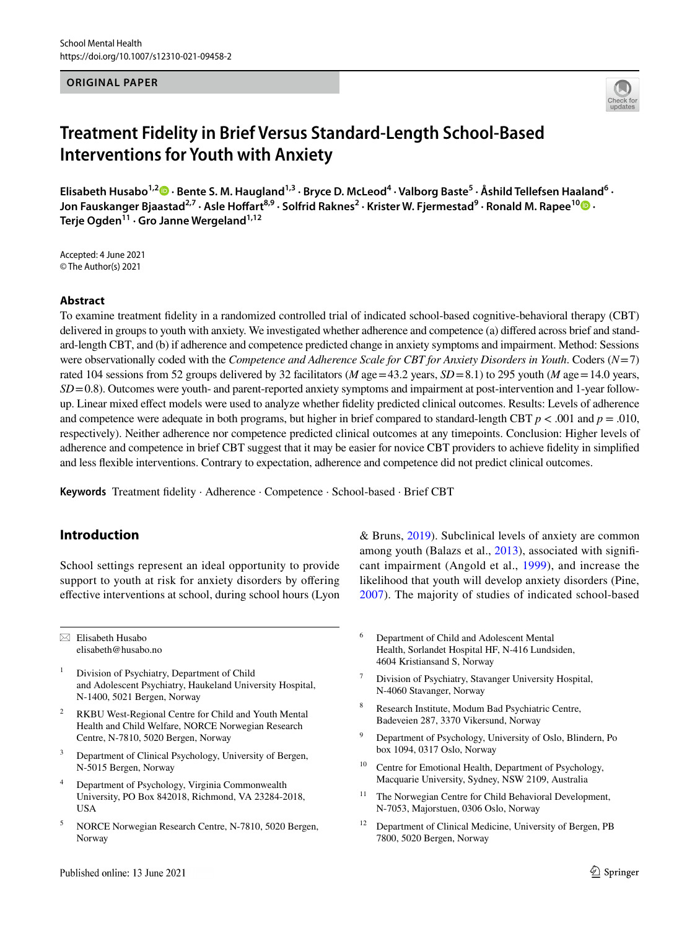#### **ORIGINAL PAPER**



# **Treatment Fidelity in Brief Versus Standard‑Length School‑Based Interventions for Youth with Anxiety**

Elisabeth Husabo<sup>1,2</sup><sup>®</sup> [·](http://orcid.org/0000-0001-5815-086X) Bente S. M. Haugland<sup>1,3</sup> · Bryce D. McLeod<sup>4</sup> · Valborg Baste<sup>5</sup> · Åshild Tellefsen Haaland<sup>6</sup> ·  $\lambda$ Jon Fauskanger Bjaastad<sup>2,7</sup> · Asle Hoffart<sup>8,9</sup> · Solfrid Raknes<sup>2</sup> · Krister W. Fjermestad<sup>9</sup> · Ronald M. Rapee<sup>10</sup>  $\bullet$  · **Terje Ogden11 · Gro Janne Wergeland1,12**

Accepted: 4 June 2021 © The Author(s) 2021

## **Abstract**

To examine treatment fdelity in a randomized controlled trial of indicated school-based cognitive-behavioral therapy (CBT) delivered in groups to youth with anxiety. We investigated whether adherence and competence (a) difered across brief and standard-length CBT, and (b) if adherence and competence predicted change in anxiety symptoms and impairment. Method: Sessions were observationally coded with the *Competence and Adherence Scale for CBT for Anxiety Disorders in Youth*. Coders (*N*=7) rated 104 sessions from 52 groups delivered by 32 facilitators (*M* age = 43.2 years, *SD*=8.1) to 295 youth (*M* age = 14.0 years, *SD*=0.8). Outcomes were youth- and parent-reported anxiety symptoms and impairment at post-intervention and 1-year followup. Linear mixed efect models were used to analyze whether fdelity predicted clinical outcomes. Results: Levels of adherence and competence were adequate in both programs, but higher in brief compared to standard-length CBT  $p < .001$  and  $p = .010$ , respectively). Neither adherence nor competence predicted clinical outcomes at any timepoints. Conclusion: Higher levels of adherence and competence in brief CBT suggest that it may be easier for novice CBT providers to achieve fdelity in simplifed and less fexible interventions. Contrary to expectation, adherence and competence did not predict clinical outcomes.

**Keywords** Treatment fdelity · Adherence · Competence · School-based · Brief CBT

# **Introduction**

School settings represent an ideal opportunity to provide support to youth at risk for anxiety disorders by offering efective interventions at school, during school hours (Lyon

 $\boxtimes$  Elisabeth Husabo elisabeth@husabo.no

- <sup>1</sup> Division of Psychiatry, Department of Child and Adolescent Psychiatry, Haukeland University Hospital, N-1400, 5021 Bergen, Norway
- RKBU West-Regional Centre for Child and Youth Mental Health and Child Welfare, NORCE Norwegian Research Centre, N-7810, 5020 Bergen, Norway
- <sup>3</sup> Department of Clinical Psychology, University of Bergen, N-5015 Bergen, Norway
- <sup>4</sup> Department of Psychology, Virginia Commonwealth University, PO Box 842018, Richmond, VA 23284-2018, USA
- <sup>5</sup> NORCE Norwegian Research Centre, N-7810, 5020 Bergen, Norway

& Bruns, [2019\)](#page-11-0). Subclinical levels of anxiety are common among youth (Balazs et al., [2013](#page-10-0)), associated with signifcant impairment (Angold et al., [1999](#page-10-1)), and increase the likelihood that youth will develop anxiety disorders (Pine, [2007\)](#page-12-0). The majority of studies of indicated school-based

- <sup>6</sup> Department of Child and Adolescent Mental Health, Sorlandet Hospital HF, N-416 Lundsiden, 4604 Kristiansand S, Norway
- <sup>7</sup> Division of Psychiatry, Stavanger University Hospital, N-4060 Stavanger, Norway
- <sup>8</sup> Research Institute, Modum Bad Psychiatric Centre, Badeveien 287, 3370 Vikersund, Norway
- Department of Psychology, University of Oslo, Blindern, Po box 1094, 0317 Oslo, Norway
- <sup>10</sup> Centre for Emotional Health, Department of Psychology, Macquarie University, Sydney, NSW 2109, Australia
- <sup>11</sup> The Norwegian Centre for Child Behavioral Development, N-7053, Majorstuen, 0306 Oslo, Norway
- <sup>12</sup> Department of Clinical Medicine, University of Bergen, PB 7800, 5020 Bergen, Norway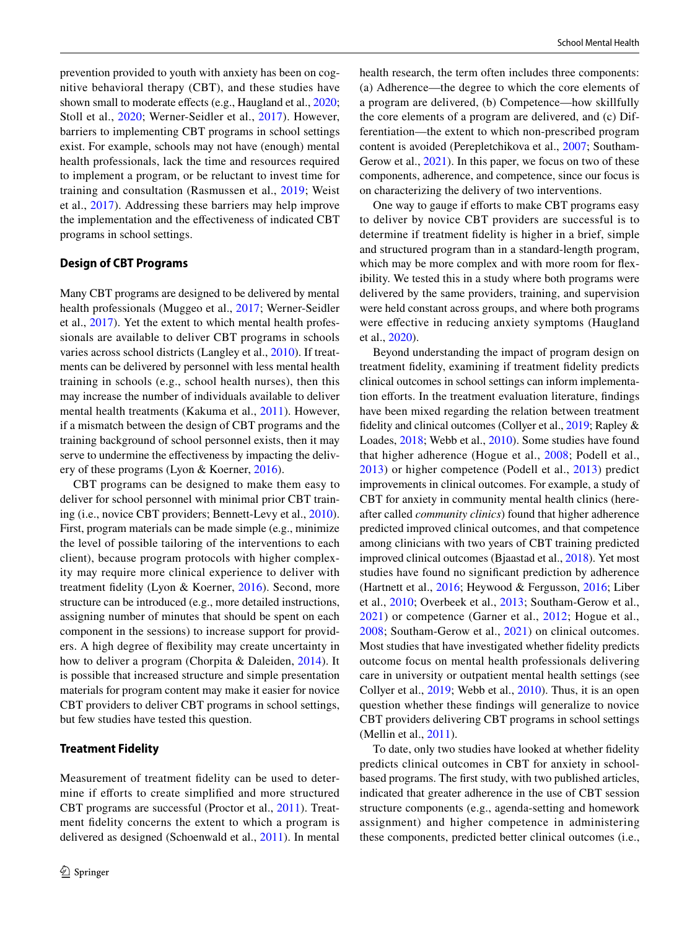prevention provided to youth with anxiety has been on cognitive behavioral therapy (CBT), and these studies have shown small to moderate effects (e.g., Haugland et al., [2020](#page-11-1); Stoll et al., [2020;](#page-12-1) Werner-Seidler et al., [2017\)](#page-13-0). However, barriers to implementing CBT programs in school settings exist. For example, schools may not have (enough) mental health professionals, lack the time and resources required to implement a program, or be reluctant to invest time for training and consultation (Rasmussen et al., [2019;](#page-12-2) Weist et al., [2017](#page-12-3)). Addressing these barriers may help improve the implementation and the efectiveness of indicated CBT programs in school settings.

# **Design of CBT Programs**

Many CBT programs are designed to be delivered by mental health professionals (Muggeo et al., [2017](#page-12-4); Werner-Seidler et al., [2017\)](#page-13-0). Yet the extent to which mental health professionals are available to deliver CBT programs in schools varies across school districts (Langley et al., [2010\)](#page-11-2). If treatments can be delivered by personnel with less mental health training in schools (e.g., school health nurses), then this may increase the number of individuals available to deliver mental health treatments (Kakuma et al., [2011\)](#page-11-3). However, if a mismatch between the design of CBT programs and the training background of school personnel exists, then it may serve to undermine the effectiveness by impacting the delivery of these programs (Lyon & Koerner, [2016](#page-11-4)).

CBT programs can be designed to make them easy to deliver for school personnel with minimal prior CBT training (i.e., novice CBT providers; Bennett-Levy et al., [2010](#page-10-2)). First, program materials can be made simple (e.g., minimize the level of possible tailoring of the interventions to each client), because program protocols with higher complexity may require more clinical experience to deliver with treatment fdelity (Lyon & Koerner, [2016](#page-11-4)). Second, more structure can be introduced (e.g., more detailed instructions, assigning number of minutes that should be spent on each component in the sessions) to increase support for providers. A high degree of fexibility may create uncertainty in how to deliver a program (Chorpita & Daleiden, [2014\)](#page-10-3). It is possible that increased structure and simple presentation materials for program content may make it easier for novice CBT providers to deliver CBT programs in school settings, but few studies have tested this question.

## **Treatment Fidelity**

Measurement of treatment fdelity can be used to determine if eforts to create simplifed and more structured CBT programs are successful (Proctor et al., [2011\)](#page-12-5). Treatment fdelity concerns the extent to which a program is delivered as designed (Schoenwald et al., [2011\)](#page-12-6). In mental health research, the term often includes three components: (a) Adherence—the degree to which the core elements of a program are delivered, (b) Competence—how skillfully the core elements of a program are delivered, and (c) Differentiation—the extent to which non-prescribed program content is avoided (Perepletchikova et al., [2007](#page-12-7); Southam-Gerow et al.,  $2021$ ). In this paper, we focus on two of these components, adherence, and competence, since our focus is on characterizing the delivery of two interventions.

One way to gauge if efforts to make CBT programs easy to deliver by novice CBT providers are successful is to determine if treatment fdelity is higher in a brief, simple and structured program than in a standard-length program, which may be more complex and with more room for fexibility. We tested this in a study where both programs were delivered by the same providers, training, and supervision were held constant across groups, and where both programs were efective in reducing anxiety symptoms (Haugland et al., [2020\)](#page-11-1).

Beyond understanding the impact of program design on treatment fdelity, examining if treatment fdelity predicts clinical outcomes in school settings can inform implementation efforts. In the treatment evaluation literature, findings have been mixed regarding the relation between treatment fdelity and clinical outcomes (Collyer et al., [2019;](#page-10-4) Rapley & Loades, [2018](#page-12-9); Webb et al., [2010](#page-12-10)). Some studies have found that higher adherence (Hogue et al., [2008](#page-11-5); Podell et al., [2013\)](#page-12-11) or higher competence (Podell et al., [2013\)](#page-12-11) predict improvements in clinical outcomes. For example, a study of CBT for anxiety in community mental health clinics (hereafter called *community clinics*) found that higher adherence predicted improved clinical outcomes, and that competence among clinicians with two years of CBT training predicted improved clinical outcomes (Bjaastad et al., [2018](#page-10-5)). Yet most studies have found no signifcant prediction by adherence (Hartnett et al., [2016](#page-11-6); Heywood & Fergusson, [2016;](#page-11-7) Liber et al., [2010](#page-11-8); Overbeek et al., [2013;](#page-12-12) Southam-Gerow et al., [2021\)](#page-12-8) or competence (Garner et al., [2012](#page-11-9); Hogue et al., [2008;](#page-11-5) Southam-Gerow et al., [2021](#page-12-8)) on clinical outcomes. Most studies that have investigated whether fdelity predicts outcome focus on mental health professionals delivering care in university or outpatient mental health settings (see Collyer et al., [2019;](#page-10-4) Webb et al., [2010\)](#page-12-10). Thus, it is an open question whether these fndings will generalize to novice CBT providers delivering CBT programs in school settings (Mellin et al., [2011\)](#page-12-13).

To date, only two studies have looked at whether fdelity predicts clinical outcomes in CBT for anxiety in schoolbased programs. The frst study, with two published articles, indicated that greater adherence in the use of CBT session structure components (e.g., agenda-setting and homework assignment) and higher competence in administering these components, predicted better clinical outcomes (i.e.,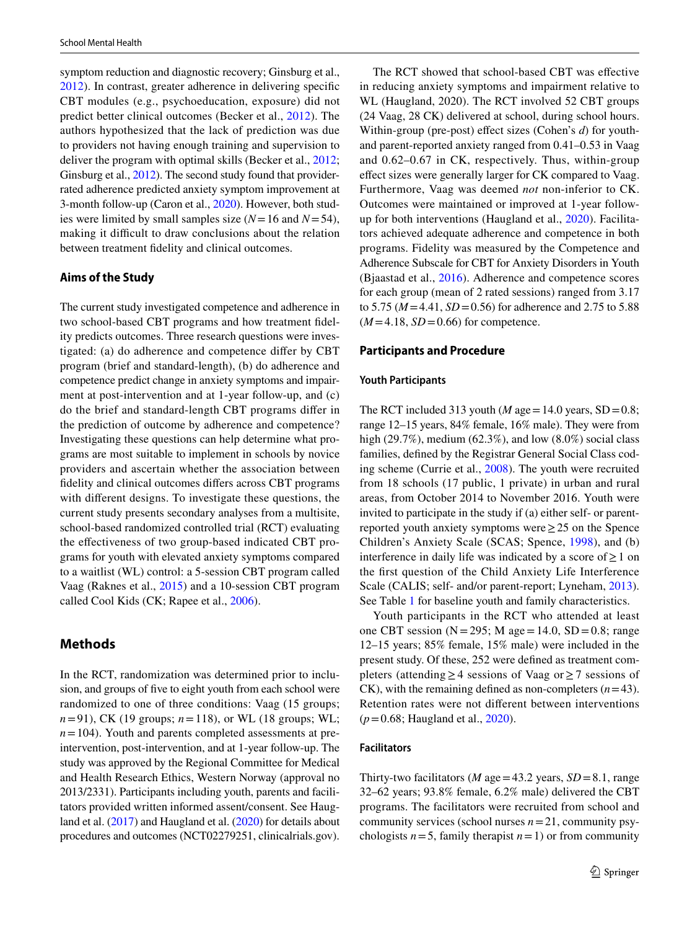symptom reduction and diagnostic recovery; Ginsburg et al., [2012](#page-11-10)). In contrast, greater adherence in delivering specifc CBT modules (e.g., psychoeducation, exposure) did not predict better clinical outcomes (Becker et al., [2012](#page-10-6)). The authors hypothesized that the lack of prediction was due to providers not having enough training and supervision to deliver the program with optimal skills (Becker et al., [2012](#page-10-6); Ginsburg et al., [2012\)](#page-11-10). The second study found that providerrated adherence predicted anxiety symptom improvement at 3-month follow-up (Caron et al., [2020](#page-10-7)). However, both studies were limited by small samples size (*N*=16 and *N*=54), making it difficult to draw conclusions about the relation between treatment fdelity and clinical outcomes.

## **Aims of the Study**

The current study investigated competence and adherence in two school-based CBT programs and how treatment fdelity predicts outcomes. Three research questions were investigated: (a) do adherence and competence difer by CBT program (brief and standard-length), (b) do adherence and competence predict change in anxiety symptoms and impairment at post-intervention and at 1-year follow-up, and (c) do the brief and standard-length CBT programs difer in the prediction of outcome by adherence and competence? Investigating these questions can help determine what programs are most suitable to implement in schools by novice providers and ascertain whether the association between fdelity and clinical outcomes difers across CBT programs with diferent designs. To investigate these questions, the current study presents secondary analyses from a multisite, school-based randomized controlled trial (RCT) evaluating the efectiveness of two group-based indicated CBT programs for youth with elevated anxiety symptoms compared to a waitlist (WL) control: a 5-session CBT program called Vaag (Raknes et al., [2015\)](#page-12-14) and a 10-session CBT program called Cool Kids (CK; Rapee et al., [2006](#page-12-15)).

# **Methods**

In the RCT, randomization was determined prior to inclusion, and groups of fve to eight youth from each school were randomized to one of three conditions: Vaag (15 groups; *n*=91), CK (19 groups; *n*=118), or WL (18 groups; WL;  $n = 104$ ). Youth and parents completed assessments at preintervention, post-intervention, and at 1-year follow-up. The study was approved by the Regional Committee for Medical and Health Research Ethics, Western Norway (approval no 2013/2331). Participants including youth, parents and facilitators provided written informed assent/consent. See Haugland et al. [\(2017](#page-11-11)) and Haugland et al. ([2020](#page-11-1)) for details about procedures and outcomes (NCT02279251, clinicalrials.gov).

The RCT showed that school-based CBT was efective in reducing anxiety symptoms and impairment relative to WL (Haugland, 2020). The RCT involved 52 CBT groups (24 Vaag, 28 CK) delivered at school, during school hours. Within-group (pre-post) effect sizes (Cohen's *d*) for youthand parent-reported anxiety ranged from 0.41–0.53 in Vaag and 0.62–0.67 in CK, respectively. Thus, within-group efect sizes were generally larger for CK compared to Vaag. Furthermore, Vaag was deemed *not* non-inferior to CK. Outcomes were maintained or improved at 1-year followup for both interventions (Haugland et al., [2020\)](#page-11-1). Facilitators achieved adequate adherence and competence in both programs. Fidelity was measured by the Competence and Adherence Subscale for CBT for Anxiety Disorders in Youth (Bjaastad et al., [2016\)](#page-10-8). Adherence and competence scores for each group (mean of 2 rated sessions) ranged from 3.17 to 5.75 (*M*=4.41, *SD*=0.56) for adherence and 2.75 to 5.88  $(M=4.18, SD=0.66)$  for competence.

#### **Participants and Procedure**

#### **Youth Participants**

The RCT included 313 youth ( $M$  age = 14.0 years, SD = 0.8; range 12–15 years, 84% female, 16% male). They were from high (29.7%), medium (62.3%), and low  $(8.0\%)$  social class families, defned by the Registrar General Social Class coding scheme (Currie et al., [2008\)](#page-10-9). The youth were recruited from 18 schools (17 public, 1 private) in urban and rural areas, from October 2014 to November 2016. Youth were invited to participate in the study if (a) either self- or parentreported youth anxiety symptoms were≥25 on the Spence Children's Anxiety Scale (SCAS; Spence, [1998](#page-12-16)), and (b) interference in daily life was indicated by a score of  $\geq 1$  on the frst question of the Child Anxiety Life Interference Scale (CALIS; self- and/or parent-report; Lyneham, [2013](#page-11-12)). See Table [1](#page-3-0) for baseline youth and family characteristics.

Youth participants in the RCT who attended at least one CBT session ( $N = 295$ ; M age = 14.0, SD = 0.8; range 12–15 years; 85% female, 15% male) were included in the present study. Of these, 252 were defned as treatment completers (attending≥4 sessions of Vaag or≥7 sessions of CK), with the remaining defined as non-completers  $(n=43)$ . Retention rates were not diferent between interventions (*p*=0.68; Haugland et al., [2020](#page-11-1)).

#### **Facilitators**

Thirty-two facilitators (*M* age = 43.2 years,  $SD = 8.1$ , range 32–62 years; 93.8% female, 6.2% male) delivered the CBT programs. The facilitators were recruited from school and community services (school nurses *n*=21, community psychologists  $n=5$ , family therapist  $n=1$ ) or from community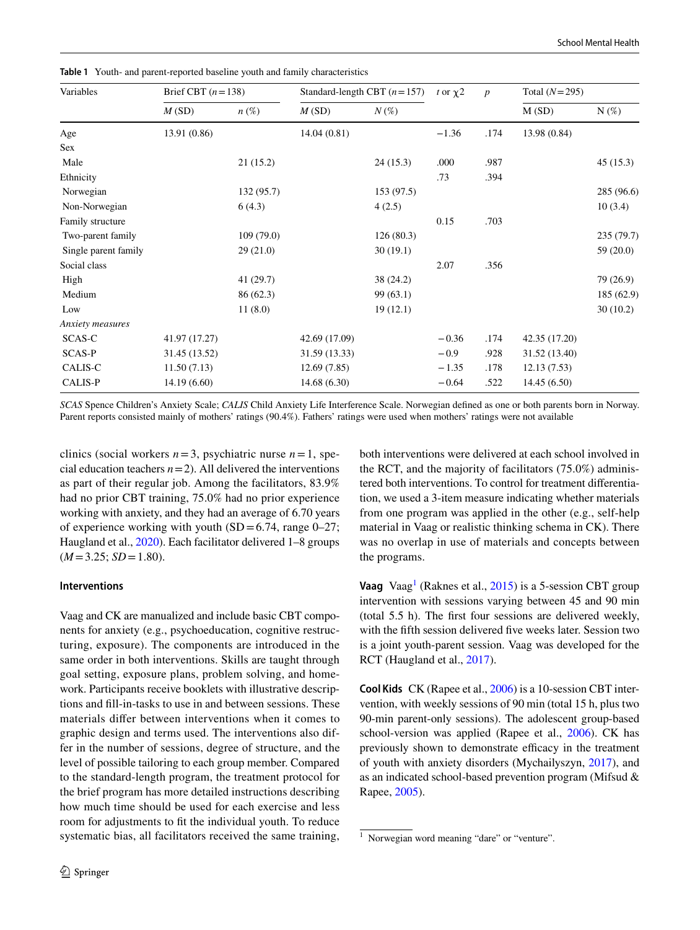| Variables            | Brief CBT $(n=138)$ |                    | Standard-length CBT $(n=157)$ | t or $\chi$ 2 | $\boldsymbol{p}$ | Total $(N=295)$ |               |            |
|----------------------|---------------------|--------------------|-------------------------------|---------------|------------------|-----------------|---------------|------------|
|                      | M(SD)               | $n\left(\%\right)$ | M(SD)                         | $N(\%)$       |                  |                 | M(SD)         | $N(\%)$    |
| Age                  | 13.91 (0.86)        |                    | 14.04(0.81)                   |               | $-1.36$          | .174            | 13.98 (0.84)  |            |
| Sex                  |                     |                    |                               |               |                  |                 |               |            |
| Male                 |                     | 21(15.2)           |                               | 24(15.3)      | .000             | .987            |               | 45(15.3)   |
| Ethnicity            |                     |                    |                               |               | .73              | .394            |               |            |
| Norwegian            |                     | 132(95.7)          |                               | 153 (97.5)    |                  |                 |               | 285 (96.6) |
| Non-Norwegian        |                     | 6(4.3)             |                               | 4(2.5)        |                  |                 |               | 10(3.4)    |
| Family structure     |                     |                    |                               |               | 0.15             | .703            |               |            |
| Two-parent family    |                     | 109(79.0)          |                               | 126(80.3)     |                  |                 |               | 235 (79.7) |
| Single parent family |                     | 29(21.0)           |                               | 30(19.1)      |                  |                 |               | 59 (20.0)  |
| Social class         |                     |                    |                               |               | 2.07             | .356            |               |            |
| High                 |                     | 41(29.7)           |                               | 38(24.2)      |                  |                 |               | 79 (26.9)  |
| Medium               |                     | 86 (62.3)          |                               | 99(63.1)      |                  |                 |               | 185 (62.9) |
| Low                  |                     | 11(8.0)            |                               | 19(12.1)      |                  |                 |               | 30(10.2)   |
| Anxiety measures     |                     |                    |                               |               |                  |                 |               |            |
| SCAS-C               | 41.97 (17.27)       |                    | 42.69 (17.09)                 |               | $-0.36$          | .174            | 42.35 (17.20) |            |
| <b>SCAS-P</b>        | 31.45 (13.52)       |                    | 31.59 (13.33)                 |               | $-0.9$           | .928            | 31.52 (13.40) |            |
| CALIS-C              | 11.50(7.13)         |                    | 12.69(7.85)                   |               | $-1.35$          | .178            | 12.13(7.53)   |            |
| CALIS-P              | 14.19(6.60)         |                    | 14.68(6.30)                   |               | $-0.64$          | .522            | 14.45(6.50)   |            |
|                      |                     |                    |                               |               |                  |                 |               |            |

<span id="page-3-0"></span>**Table 1** Youth- and parent-reported baseline youth and family characteristics

*SCAS* Spence Children's Anxiety Scale; *CALIS* Child Anxiety Life Interference Scale. Norwegian defned as one or both parents born in Norway. Parent reports consisted mainly of mothers' ratings (90.4%). Fathers' ratings were used when mothers' ratings were not available

clinics (social workers  $n=3$ , psychiatric nurse  $n=1$ , special education teachers  $n=2$ ). All delivered the interventions as part of their regular job. Among the facilitators, 83.9% had no prior CBT training, 75.0% had no prior experience working with anxiety, and they had an average of 6.70 years of experience working with youth  $(SD=6.74$ , range 0–27; Haugland et al., [2020](#page-11-1)). Each facilitator delivered 1–8 groups  $(M=3.25; SD=1.80)$ .

## **Interventions**

Vaag and CK are manualized and include basic CBT components for anxiety (e.g., psychoeducation, cognitive restructuring, exposure). The components are introduced in the same order in both interventions. Skills are taught through goal setting, exposure plans, problem solving, and homework. Participants receive booklets with illustrative descriptions and fll-in-tasks to use in and between sessions. These materials difer between interventions when it comes to graphic design and terms used. The interventions also differ in the number of sessions, degree of structure, and the level of possible tailoring to each group member. Compared to the standard-length program, the treatment protocol for the brief program has more detailed instructions describing how much time should be used for each exercise and less room for adjustments to ft the individual youth. To reduce systematic bias, all facilitators received the same training,

both interventions were delivered at each school involved in the RCT, and the majority of facilitators (75.0%) administered both interventions. To control for treatment diferentiation, we used a 3-item measure indicating whether materials from one program was applied in the other (e.g., self-help material in Vaag or realistic thinking schema in CK). There was no overlap in use of materials and concepts between the programs.

**Vaag** Vaag<sup>[1](#page-3-1)</sup> (Raknes et al., [2015](#page-12-14)) is a 5-session CBT group intervention with sessions varying between 45 and 90 min (total 5.5 h). The frst four sessions are delivered weekly, with the fifth session delivered five weeks later. Session two is a joint youth-parent session. Vaag was developed for the RCT (Haugland et al., [2017\)](#page-11-11).

**Cool Kids** CK (Rapee et al., [2006\)](#page-12-15) is a 10-session CBT intervention, with weekly sessions of 90 min (total 15 h, plus two 90-min parent-only sessions). The adolescent group-based school-version was applied (Rapee et al., [2006\)](#page-12-15). CK has previously shown to demonstrate efficacy in the treatment of youth with anxiety disorders (Mychailyszyn, [2017\)](#page-12-17), and as an indicated school-based prevention program (Mifsud & Rapee, [2005](#page-12-18)).

<span id="page-3-1"></span><sup>&</sup>lt;sup>1</sup> Norwegian word meaning "dare" or "venture".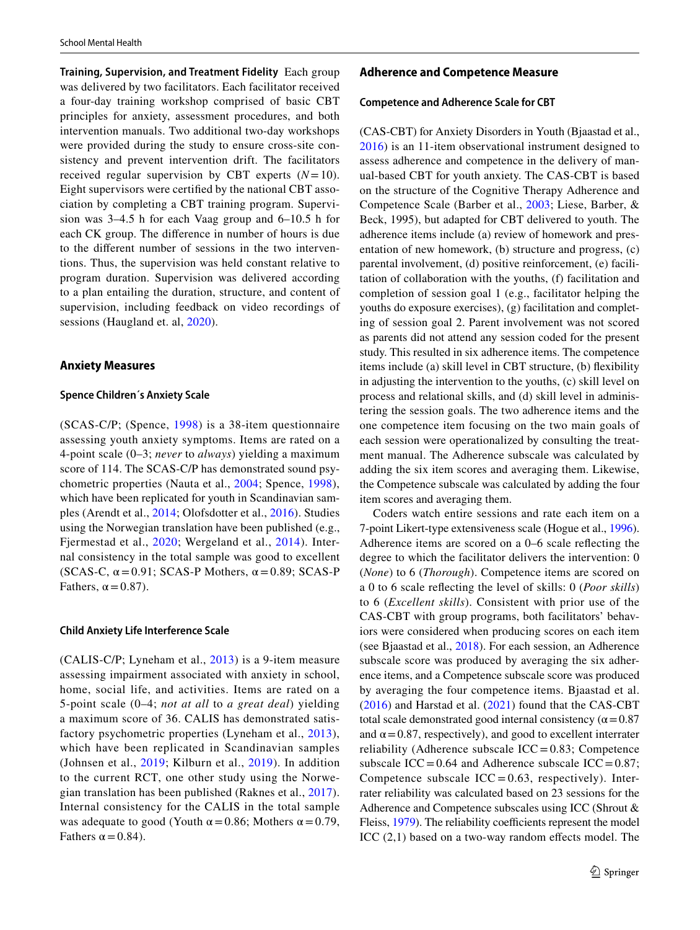**Training, Supervision, and Treatment Fidelity** Each group was delivered by two facilitators. Each facilitator received a four-day training workshop comprised of basic CBT principles for anxiety, assessment procedures, and both intervention manuals. Two additional two-day workshops were provided during the study to ensure cross-site consistency and prevent intervention drift. The facilitators received regular supervision by CBT experts (*N*=10). Eight supervisors were certifed by the national CBT association by completing a CBT training program. Supervision was 3–4.5 h for each Vaag group and 6–10.5 h for each CK group. The diference in number of hours is due to the diferent number of sessions in the two interventions. Thus, the supervision was held constant relative to program duration. Supervision was delivered according to a plan entailing the duration, structure, and content of supervision, including feedback on video recordings of sessions (Haugland et. al, [2020\)](#page-11-1).

#### **Anxiety Measures**

## **Spence Children´s Anxiety Scale**

(SCAS-C/P; (Spence, [1998\)](#page-12-16) is a 38-item questionnaire assessing youth anxiety symptoms. Items are rated on a 4-point scale (0–3; *never* to *always*) yielding a maximum score of 114. The SCAS-C/P has demonstrated sound psychometric properties (Nauta et al., [2004](#page-12-19); Spence, [1998\)](#page-12-16), which have been replicated for youth in Scandinavian samples (Arendt et al., [2014](#page-10-10); Olofsdotter et al., [2016](#page-12-20)). Studies using the Norwegian translation have been published (e.g., Fjermestad et al., [2020](#page-11-13); Wergeland et al., [2014\)](#page-12-21). Internal consistency in the total sample was good to excellent (SCAS-C,  $\alpha$  = 0.91; SCAS-P Mothers,  $\alpha$  = 0.89; SCAS-P Fathers,  $\alpha$  = 0.87).

#### **Child Anxiety Life Interference Scale**

(CALIS-C/P; Lyneham et al., [2013\)](#page-11-12) is a 9-item measure assessing impairment associated with anxiety in school, home, social life, and activities. Items are rated on a 5-point scale (0–4; *not at all* to *a great deal*) yielding a maximum score of 36. CALIS has demonstrated satisfactory psychometric properties (Lyneham et al., [2013\)](#page-11-12), which have been replicated in Scandinavian samples (Johnsen et al., [2019;](#page-11-14) Kilburn et al., [2019](#page-11-15)). In addition to the current RCT, one other study using the Norwegian translation has been published (Raknes et al., [2017](#page-12-22)). Internal consistency for the CALIS in the total sample was adequate to good (Youth  $\alpha$  = 0.86; Mothers  $\alpha$  = 0.79, Fathers  $\alpha$  = 0.84).

# **Adherence and Competence Measure**

#### **Competence and Adherence Scale for CBT**

(CAS-CBT) for Anxiety Disorders in Youth (Bjaastad et al., [2016\)](#page-10-8) is an 11-item observational instrument designed to assess adherence and competence in the delivery of manual-based CBT for youth anxiety. The CAS-CBT is based on the structure of the Cognitive Therapy Adherence and Competence Scale (Barber et al., [2003](#page-10-11); Liese, Barber, & Beck, 1995), but adapted for CBT delivered to youth. The adherence items include (a) review of homework and presentation of new homework, (b) structure and progress, (c) parental involvement, (d) positive reinforcement, (e) facilitation of collaboration with the youths, (f) facilitation and completion of session goal 1 (e.g., facilitator helping the youths do exposure exercises), (g) facilitation and completing of session goal 2. Parent involvement was not scored as parents did not attend any session coded for the present study. This resulted in six adherence items. The competence items include (a) skill level in CBT structure, (b) fexibility in adjusting the intervention to the youths, (c) skill level on process and relational skills, and (d) skill level in administering the session goals. The two adherence items and the one competence item focusing on the two main goals of each session were operationalized by consulting the treatment manual. The Adherence subscale was calculated by adding the six item scores and averaging them. Likewise, the Competence subscale was calculated by adding the four item scores and averaging them.

Coders watch entire sessions and rate each item on a 7-point Likert-type extensiveness scale (Hogue et al., [1996](#page-11-16)). Adherence items are scored on a 0–6 scale refecting the degree to which the facilitator delivers the intervention: 0 (*None*) to 6 (*Thorough*). Competence items are scored on a 0 to 6 scale refecting the level of skills: 0 (*Poor skills*) to 6 (*Excellent skills*). Consistent with prior use of the CAS-CBT with group programs, both facilitators' behaviors were considered when producing scores on each item (see Bjaastad et al., [2018\)](#page-10-5). For each session, an Adherence subscale score was produced by averaging the six adherence items, and a Competence subscale score was produced by averaging the four competence items. Bjaastad et al. ([2016\)](#page-10-8) and Harstad et al. ([2021](#page-11-17)) found that the CAS-CBT total scale demonstrated good internal consistency ( $\alpha$  = 0.87 and  $\alpha$  = 0.87, respectively), and good to excellent interrater reliability (Adherence subscale  $ICC=0.83$ ; Competence subscale ICC =  $0.64$  and Adherence subscale ICC =  $0.87$ ; Competence subscale  $ICC = 0.63$ , respectively). Interrater reliability was calculated based on 23 sessions for the Adherence and Competence subscales using ICC (Shrout & Fleiss, [1979\)](#page-12-23). The reliability coefficients represent the model ICC  $(2,1)$  based on a two-way random effects model. The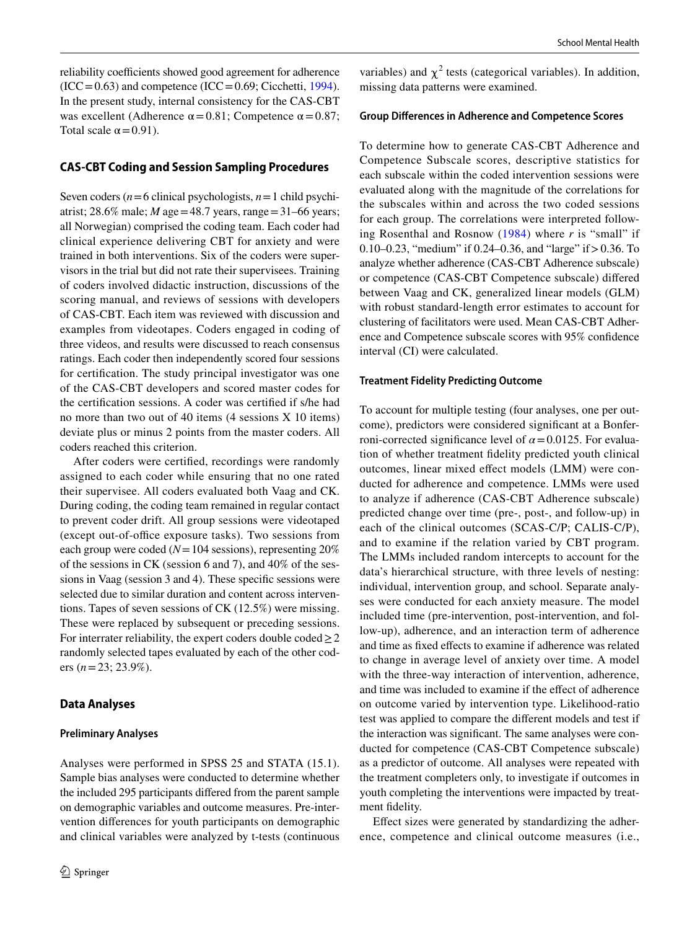reliability coefficients showed good agreement for adherence  $(ICC=0.63)$  and competence  $(ICC=0.69; Cicchetti, 1994)$  $(ICC=0.69; Cicchetti, 1994)$  $(ICC=0.69; Cicchetti, 1994)$ . In the present study, internal consistency for the CAS-CBT was excellent (Adherence  $\alpha$  = 0.81; Competence  $\alpha$  = 0.87; Total scale  $\alpha$  = 0.91).

# **CAS‑CBT Coding and Session Sampling Procedures**

Seven coders (*n*=6 clinical psychologists, *n*=1 child psychiatrist; 28.6% male; *M* age=48.7 years, range=31–66 years; all Norwegian) comprised the coding team. Each coder had clinical experience delivering CBT for anxiety and were trained in both interventions. Six of the coders were supervisors in the trial but did not rate their supervisees. Training of coders involved didactic instruction, discussions of the scoring manual, and reviews of sessions with developers of CAS-CBT. Each item was reviewed with discussion and examples from videotapes. Coders engaged in coding of three videos, and results were discussed to reach consensus ratings. Each coder then independently scored four sessions for certifcation. The study principal investigator was one of the CAS-CBT developers and scored master codes for the certifcation sessions. A coder was certifed if s/he had no more than two out of 40 items (4 sessions X 10 items) deviate plus or minus 2 points from the master coders. All coders reached this criterion.

After coders were certifed, recordings were randomly assigned to each coder while ensuring that no one rated their supervisee. All coders evaluated both Vaag and CK. During coding, the coding team remained in regular contact to prevent coder drift. All group sessions were videotaped (except out-of-office exposure tasks). Two sessions from each group were coded (*N*=104 sessions), representing 20% of the sessions in CK (session 6 and 7), and 40% of the sessions in Vaag (session 3 and 4). These specifc sessions were selected due to similar duration and content across interventions. Tapes of seven sessions of CK (12.5%) were missing. These were replaced by subsequent or preceding sessions. For interrater reliability, the expert coders double coded  $\geq 2$ randomly selected tapes evaluated by each of the other coders (*n*=23; 23.9%).

## **Data Analyses**

#### **Preliminary Analyses**

Analyses were performed in SPSS 25 and STATA (15.1). Sample bias analyses were conducted to determine whether the included 295 participants difered from the parent sample on demographic variables and outcome measures. Pre-intervention diferences for youth participants on demographic and clinical variables were analyzed by t-tests (continuous

variables) and  $\chi^2$  tests (categorical variables). In addition, missing data patterns were examined.

#### **Group Diferences in Adherence and Competence Scores**

To determine how to generate CAS-CBT Adherence and Competence Subscale scores, descriptive statistics for each subscale within the coded intervention sessions were evaluated along with the magnitude of the correlations for the subscales within and across the two coded sessions for each group. The correlations were interpreted following Rosenthal and Rosnow [\(1984](#page-12-24)) where *r* is "small" if 0.10–0.23, "medium" if 0.24–0.36, and "large" if>0.36. To analyze whether adherence (CAS-CBT Adherence subscale) or competence (CAS-CBT Competence subscale) difered between Vaag and CK, generalized linear models (GLM) with robust standard-length error estimates to account for clustering of facilitators were used. Mean CAS-CBT Adherence and Competence subscale scores with 95% confdence interval (CI) were calculated.

#### **Treatment Fidelity Predicting Outcome**

To account for multiple testing (four analyses, one per outcome), predictors were considered signifcant at a Bonferroni-corrected significance level of  $\alpha$  = 0.0125. For evaluation of whether treatment fdelity predicted youth clinical outcomes, linear mixed efect models (LMM) were conducted for adherence and competence. LMMs were used to analyze if adherence (CAS-CBT Adherence subscale) predicted change over time (pre-, post-, and follow-up) in each of the clinical outcomes (SCAS-C/P; CALIS-C/P), and to examine if the relation varied by CBT program. The LMMs included random intercepts to account for the data's hierarchical structure, with three levels of nesting: individual, intervention group, and school. Separate analyses were conducted for each anxiety measure. The model included time (pre-intervention, post-intervention, and follow-up), adherence, and an interaction term of adherence and time as fxed efects to examine if adherence was related to change in average level of anxiety over time. A model with the three-way interaction of intervention, adherence, and time was included to examine if the effect of adherence on outcome varied by intervention type. Likelihood-ratio test was applied to compare the diferent models and test if the interaction was signifcant. The same analyses were conducted for competence (CAS-CBT Competence subscale) as a predictor of outcome. All analyses were repeated with the treatment completers only, to investigate if outcomes in youth completing the interventions were impacted by treatment fdelity.

Efect sizes were generated by standardizing the adherence, competence and clinical outcome measures (i.e.,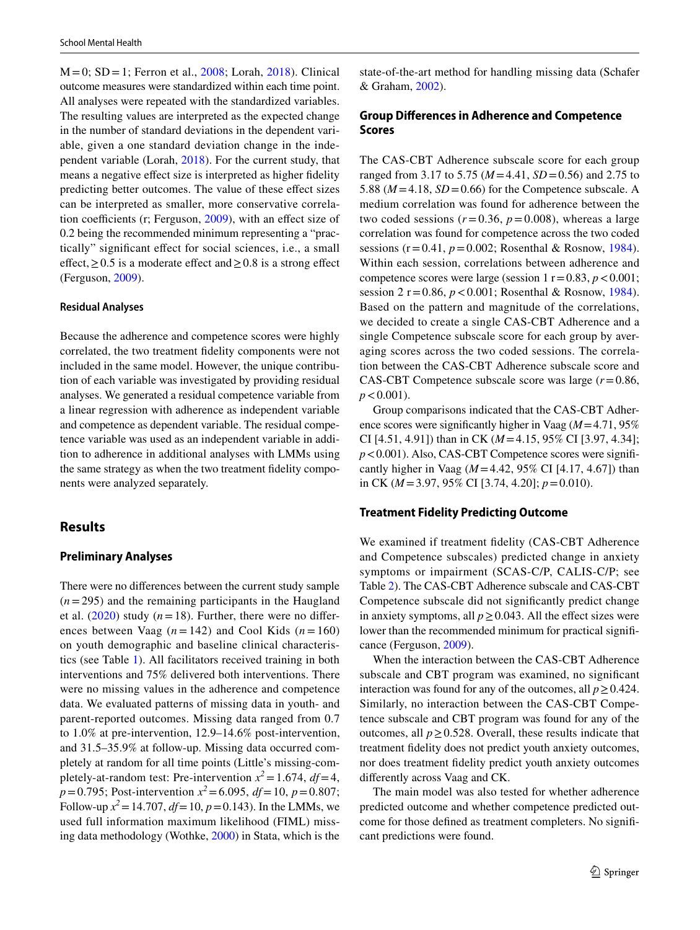$M = 0$ ; SD = 1; Ferron et al., [2008](#page-11-18); Lorah, [2018\)](#page-11-19). Clinical outcome measures were standardized within each time point. All analyses were repeated with the standardized variables. The resulting values are interpreted as the expected change in the number of standard deviations in the dependent variable, given a one standard deviation change in the independent variable (Lorah, [2018\)](#page-11-19). For the current study, that means a negative efect size is interpreted as higher fdelity predicting better outcomes. The value of these efect sizes can be interpreted as smaller, more conservative correlation coefficients (r; Ferguson,  $2009$ ), with an effect size of 0.2 being the recommended minimum representing a "practically" signifcant efect for social sciences, i.e., a small effect,  $≥ 0.5$  is a moderate effect and  $≥ 0.8$  is a strong effect (Ferguson, [2009\)](#page-11-20).

## **Residual Analyses**

Because the adherence and competence scores were highly correlated, the two treatment fdelity components were not included in the same model. However, the unique contribution of each variable was investigated by providing residual analyses. We generated a residual competence variable from a linear regression with adherence as independent variable and competence as dependent variable. The residual competence variable was used as an independent variable in addition to adherence in additional analyses with LMMs using the same strategy as when the two treatment fdelity components were analyzed separately.

# **Results**

### **Preliminary Analyses**

There were no diferences between the current study sample  $(n=295)$  and the remaining participants in the Haugland et al.  $(2020)$  $(2020)$  study  $(n=18)$ . Further, there were no differences between Vaag  $(n=142)$  and Cool Kids  $(n=160)$ on youth demographic and baseline clinical characteristics (see Table [1\)](#page-3-0). All facilitators received training in both interventions and 75% delivered both interventions. There were no missing values in the adherence and competence data. We evaluated patterns of missing data in youth- and parent-reported outcomes. Missing data ranged from 0.7 to 1.0% at pre-intervention, 12.9–14.6% post-intervention, and 31.5–35.9% at follow-up. Missing data occurred completely at random for all time points (Little's missing-completely-at-random test: Pre-intervention  $x^2 = 1.674$ ,  $df = 4$ , *p*=0.795; Post-intervention *x<sup>2</sup>*=6.095, *df*=10, *p*=0.807; Follow-up  $x^2 = 14.707$ ,  $df = 10$ ,  $p = 0.143$ ). In the LMMs, we used full information maximum likelihood (FIML) missing data methodology (Wothke, [2000](#page-13-1)) in Stata, which is the state-of-the-art method for handling missing data (Schafer & Graham, [2002](#page-12-25)).

# **Group Diferences in Adherence and Competence Scores**

The CAS-CBT Adherence subscale score for each group ranged from 3.17 to 5.75 (*M*=4.41, *SD*=0.56) and 2.75 to 5.88 ( $M = 4.18$ ,  $SD = 0.66$ ) for the Competence subscale. A medium correlation was found for adherence between the two coded sessions  $(r=0.36, p=0.008)$ , whereas a large correlation was found for competence across the two coded sessions ( $r = 0.41$ ,  $p = 0.002$ ; Rosenthal & Rosnow, [1984](#page-12-24)). Within each session, correlations between adherence and competence scores were large (session  $1 r = 0.83$ ,  $p < 0.001$ ; session 2  $r = 0.86$ ,  $p < 0.001$ ; Rosenthal & Rosnow, [1984](#page-12-24)). Based on the pattern and magnitude of the correlations, we decided to create a single CAS-CBT Adherence and a single Competence subscale score for each group by averaging scores across the two coded sessions. The correlation between the CAS-CBT Adherence subscale score and CAS-CBT Competence subscale score was large (*r*=0.86,  $p < 0.001$ ).

Group comparisons indicated that the CAS-CBT Adherence scores were signifcantly higher in Vaag (*M*=4.71, 95% CI [4.51, 4.91]) than in CK (*M*=4.15, 95% CI [3.97, 4.34]; *p*<0.001). Also, CAS-CBT Competence scores were signifcantly higher in Vaag (*M*=4.42, 95% CI [4.17, 4.67]) than in CK (*M*=3.97, 95% CI [3.74, 4.20]; *p*=0.010).

## **Treatment Fidelity Predicting Outcome**

We examined if treatment fdelity (CAS-CBT Adherence and Competence subscales) predicted change in anxiety symptoms or impairment (SCAS-C/P, CALIS-C/P; see Table [2\)](#page-7-0). The CAS-CBT Adherence subscale and CAS-CBT Competence subscale did not signifcantly predict change in anxiety symptoms, all  $p \ge 0.043$ . All the effect sizes were lower than the recommended minimum for practical signifcance (Ferguson, [2009\)](#page-11-20).

When the interaction between the CAS-CBT Adherence subscale and CBT program was examined, no signifcant interaction was found for any of the outcomes, all  $p \ge 0.424$ . Similarly, no interaction between the CAS-CBT Competence subscale and CBT program was found for any of the outcomes, all  $p \ge 0.528$ . Overall, these results indicate that treatment fdelity does not predict youth anxiety outcomes, nor does treatment fdelity predict youth anxiety outcomes diferently across Vaag and CK.

The main model was also tested for whether adherence predicted outcome and whether competence predicted outcome for those defned as treatment completers. No signifcant predictions were found.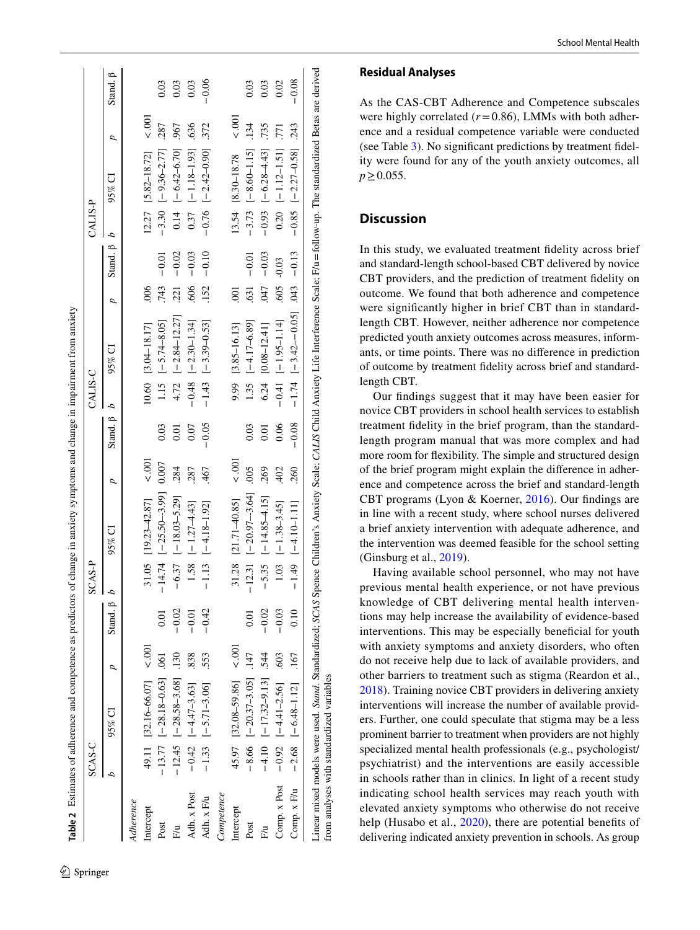|              | SCAS-C |                                  |                |                       | SCAS-P |                          |              |                         | CALIS-C |                                          |                          |                         | CALIS-P |                               |                |                |
|--------------|--------|----------------------------------|----------------|-----------------------|--------|--------------------------|--------------|-------------------------|---------|------------------------------------------|--------------------------|-------------------------|---------|-------------------------------|----------------|----------------|
|              | d      | $95\%$ CI                        | $\overline{a}$ | Stand, $\beta$ $\ell$ |        | $95\%$ CI                | p            | Stand, $\beta$ <i>b</i> |         | $95\%$ CI                                | $\overline{a}$           | Stand. $\beta$ <i>b</i> |         | $95\%$ CI                     | p              | Stand, $\beta$ |
| Adherence    |        |                                  |                |                       |        |                          |              |                         |         |                                          |                          |                         |         |                               |                |                |
| Intercept    |        | 49.11 $[32.16-66.07]$ < .001     |                |                       |        | $31.05$ [19.23-42.87]    | $\leq 0.001$ |                         |         | $10.60$ [3.04-18.17]                     | .006                     |                         |         | $12.27$ [5.82-18.72]          | $\overline{5}$ |                |
| Post         |        | $-13.77$ $[-28.18 - 0.63]$ . 061 |                | 0.01                  |        | $-14.74$ [-25.50-3.99]   | 0.007        | 0.03                    |         | 1.15 $[-5.74 - 8.05]$                    | .743                     | $-0.01$                 |         | $-3.30$ [ $-9.36 - 2.77$ ]    | .287           | 0.03           |
| Ε'n          |        | $-12.45$ [-28.58-3.68] .130      |                | $-0.02$               |        | $[-18.03 - 5.29]$        | 284          | 0.01                    |         | $4.72$ $[-2.84 - 12.27]$                 | 221                      | $-0.02$                 |         | $0.14$ $[-6.42 - 6.70]$ .967  |                | 0.03           |
| Adh. x Post  |        | $-0.42$ [-4.47-3.63]             | .838           | $-0.01$               |        | $1.58$ $[-1.27-4.43]$    | 287          | 0.07                    |         | $-0.48$ $[-2.30 - 1.34]$                 | .606                     | $-0.03$                 |         | $0.37$ [-1.18-1.93] .636      |                | 0.03           |
| Adh. x F/u   |        | $-1.33$ $[-5.71 - 3.06]$         | .553           | $-0.42$               |        | $[-4.18 - 1.92]$         | 467          | $-0.05$                 |         | $-1.43$ [-3.39-0.53]                     | .152                     | $-0.10$                 |         | $-0.76$ $[-2.42 - 0.90]$ .372 |                | $-0.06$        |
| Competence   |        |                                  |                |                       |        |                          |              |                         |         |                                          |                          |                         |         |                               |                |                |
| Intercept    |        | 45.97 [32.08-59.86]              | 100.<br>>      |                       |        | 31.28 [21.71-40.85]      | 001          |                         |         | 9.99 [3.85-16.13]                        | $\overline{\varepsilon}$ |                         |         | 13.54 [8.30-18.78             | 001            |                |
| Post         |        | $-8.66$ $[-20.37-3.05]$ .147     |                | 5<br>0.0              |        | $-12.31$ [-20.97-3.64]   | 005          | 0.03                    |         | $1.35$ $[-4.17-6.89]$                    | $-631$                   | $-0.01$                 |         | $-3.73$ $[-8.60 - 1.15]$      | .134           | 0.03           |
| F⁄u          |        | $-4.10$ $[-17.32 - 9.13]$ .544   |                | $-0.02$               |        | $-5.35$ [-14.85-4.15]    | 269          | 0.01                    |         | $6.24$ [0.08-12.41]                      | -047                     | $-0.03$                 |         | $-0.93$ $[-6.28-4.3]$         | 735            | 0.03           |
| Comp. x Post |        | $-0.92$ $[-4.41 - 2.56]$ .603    |                | $-0.03$               |        | $1.03$ $[-1.38-3.45]$    | 402          | 0.06                    |         | $-0.41$ [-1.95-1.14]                     | $.605 - 0.03$            |                         |         | $0.20$ $[-1.12 - 1.51]$ .771  |                | 0.02           |
| Comp. x F/u  |        | $-2.68$ $[-6.48 - 1.12]$ .167    |                |                       |        | $-1.49$ $[-4.10 - 1.11]$ | .260         | $-0.08$                 |         | $-1.74$ $[-3.42 - 0.05]$ $0.043$ $-0.13$ |                          |                         |         | $-0.85$ [-2.27-0.58] .243     |                | $-0.08$        |

# **Residual Analyses**

As the CAS-CBT Adherence and Competence subscales were highly correlated  $(r=0.86)$ , LMMs with both adherence and a residual competence variable were conducted (see Table [3\)](#page-8-0). No signifcant predictions by treatment fdel ity were found for any of the youth anxiety outcomes, all *p*≥0.055.

# **Discussion**

In this study, we evaluated treatment fdelity across brief and standard-length school-based CBT delivered by novice CBT providers, and the prediction of treatment fdelity on outcome. We found that both adherence and competence were signifcantly higher in brief CBT than in standardlength CBT. However, neither adherence nor competence predicted youth anxiety outcomes across measures, inform ants, or time points. There was no diference in prediction of outcome by treatment fdelity across brief and standardlength CBT.

Our fndings suggest that it may have been easier for novice CBT providers in school health services to establish treatment fdelity in the brief program, than the standardlength program manual that was more complex and had more room for fexibility. The simple and structured design of the brief program might explain the diference in adher ence and competence across the brief and standard-length CBT programs (Lyon & Koerner, [2016\)](#page-11-4). Our fndings are in line with a recent study, where school nurses delivered a brief anxiety intervention with adequate adherence, and the intervention was deemed feasible for the school setting (Ginsburg et al., [2019](#page-11-21)).

<span id="page-7-0"></span>Having available school personnel, who may not have previous mental health experience, or not have previous knowledge of CBT delivering mental health interven tions may help increase the availability of evidence-based interventions. This may be especially beneficial for youth with anxiety symptoms and anxiety disorders, who often do not receive help due to lack of available providers, and other barriers to treatment such as stigma (Reardon et al., [2018](#page-12-26)). Training novice CBT providers in delivering anxiety interventions will increase the number of available provid ers. Further, one could speculate that stigma may be a less prominent barrier to treatment when providers are not highly specialized mental health professionals (e.g., psychologist/ psychiatrist) and the interventions are easily accessible in schools rather than in clinics. In light of a recent study indicating school health services may reach youth with elevated anxiety symptoms who otherwise do not receive help (Husabo et al., [2020](#page-11-22)), there are potential benefits of delivering indicated anxiety prevention in schools. As group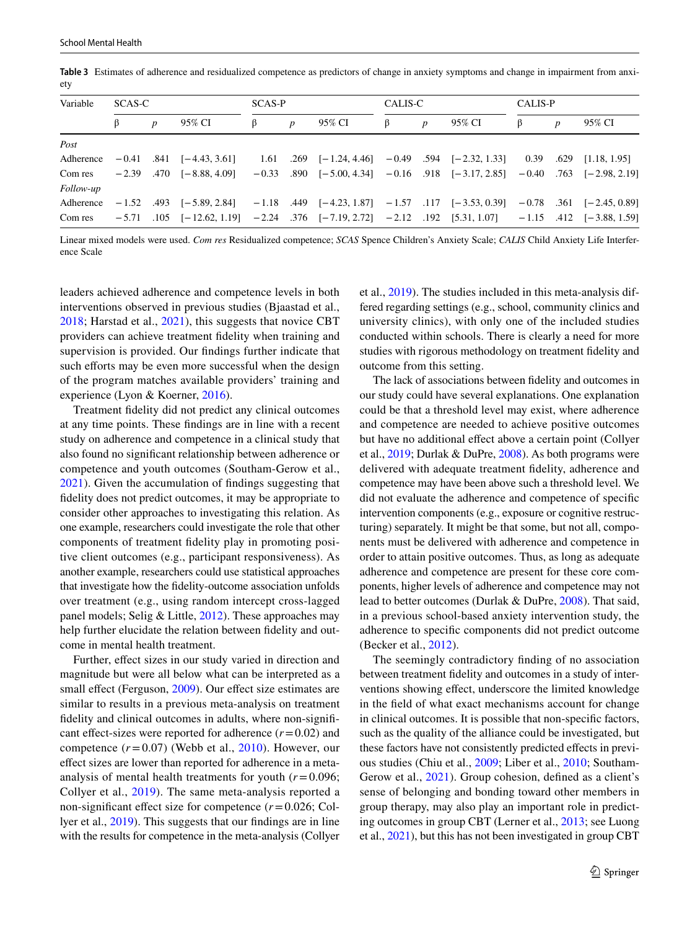| Variable  | SCAS-C |                  |                                                                                                                             | <b>SCAS-P</b> |                  |        | CALIS-C |                  |        | CALIS-P |   |        |
|-----------|--------|------------------|-----------------------------------------------------------------------------------------------------------------------------|---------------|------------------|--------|---------|------------------|--------|---------|---|--------|
|           | ß      | $\boldsymbol{p}$ | 95% CI                                                                                                                      | β             | $\boldsymbol{p}$ | 95% CI | β       | $\boldsymbol{p}$ | 95% CI | B       | p | 95% CI |
| Post      |        |                  |                                                                                                                             |               |                  |        |         |                  |        |         |   |        |
| Adherence |        |                  | $-0.41$ $.841$ $[-4.43, 3.61]$ $1.61$ $.269$ $[-1.24, 4.46]$ $-0.49$ $.594$ $[-2.32, 1.33]$ $0.39$ $.629$ $[1.18, 1.95]$    |               |                  |        |         |                  |        |         |   |        |
| Com res   |        |                  | $-2.39$ $.470$ $[-8.88, 4.09]$ $-0.33$ $.890$ $[-5.00, 4.34]$ $-0.16$ $.918$ $[-3.17, 2.85]$ $-0.40$ $.763$ $[-2.98, 2.19]$ |               |                  |        |         |                  |        |         |   |        |
| Follow-up |        |                  |                                                                                                                             |               |                  |        |         |                  |        |         |   |        |
| Adherence |        |                  | $-1.52$ .493 $[-5.89, 2.84]$ $-1.18$ .449 $[-4.23, 1.87]$ $-1.57$ .117 $[-3.53, 0.39]$ $-0.78$ .361 $[-2.45, 0.89]$         |               |                  |        |         |                  |        |         |   |        |
| Com res   |        |                  | $-5.71$ $1.05$ $[-12.62, 1.19]$ $-2.24$ $.376$ $[-7.19, 2.72]$ $-2.12$ $.192$ $[5.31, 1.07]$ $-1.15$ $.412$ $[-3.88, 1.59]$ |               |                  |        |         |                  |        |         |   |        |

<span id="page-8-0"></span>**Table 3** Estimates of adherence and residualized competence as predictors of change in anxiety symptoms and change in impairment from anxiety

Linear mixed models were used. *Com res* Residualized competence; *SCAS* Spence Children's Anxiety Scale; *CALIS* Child Anxiety Life Interference Scale

leaders achieved adherence and competence levels in both interventions observed in previous studies (Bjaastad et al., [2018](#page-10-5); Harstad et al., [2021\)](#page-11-17), this suggests that novice CBT providers can achieve treatment fdelity when training and supervision is provided. Our fndings further indicate that such efforts may be even more successful when the design of the program matches available providers' training and experience (Lyon & Koerner, [2016](#page-11-4)).

Treatment fdelity did not predict any clinical outcomes at any time points. These fndings are in line with a recent study on adherence and competence in a clinical study that also found no signifcant relationship between adherence or competence and youth outcomes (Southam-Gerow et al., [2021](#page-12-8)). Given the accumulation of fndings suggesting that fdelity does not predict outcomes, it may be appropriate to consider other approaches to investigating this relation. As one example, researchers could investigate the role that other components of treatment fdelity play in promoting positive client outcomes (e.g., participant responsiveness). As another example, researchers could use statistical approaches that investigate how the fdelity-outcome association unfolds over treatment (e.g., using random intercept cross-lagged panel models; Selig & Little, [2012\)](#page-12-27). These approaches may help further elucidate the relation between fidelity and outcome in mental health treatment.

Further, effect sizes in our study varied in direction and magnitude but were all below what can be interpreted as a small effect (Ferguson, [2009\)](#page-11-20). Our effect size estimates are similar to results in a previous meta-analysis on treatment fidelity and clinical outcomes in adults, where non-significant effect-sizes were reported for adherence  $(r=0.02)$  and competence  $(r=0.07)$  (Webb et al., [2010\)](#page-12-10). However, our efect sizes are lower than reported for adherence in a metaanalysis of mental health treatments for youth (*r*=0.096; Collyer et al., [2019\)](#page-10-4). The same meta-analysis reported a non-signifcant efect size for competence (*r*=0.026; Collyer et al., [2019\)](#page-10-4). This suggests that our fndings are in line with the results for competence in the meta-analysis (Collyer et al., [2019\)](#page-10-4). The studies included in this meta-analysis differed regarding settings (e.g., school, community clinics and university clinics), with only one of the included studies conducted within schools. There is clearly a need for more studies with rigorous methodology on treatment fdelity and outcome from this setting.

The lack of associations between fdelity and outcomes in our study could have several explanations. One explanation could be that a threshold level may exist, where adherence and competence are needed to achieve positive outcomes but have no additional efect above a certain point (Collyer et al., [2019;](#page-10-4) Durlak & DuPre, [2008](#page-10-13)). As both programs were delivered with adequate treatment fdelity, adherence and competence may have been above such a threshold level. We did not evaluate the adherence and competence of specifc intervention components (e.g., exposure or cognitive restructuring) separately. It might be that some, but not all, components must be delivered with adherence and competence in order to attain positive outcomes. Thus, as long as adequate adherence and competence are present for these core components, higher levels of adherence and competence may not lead to better outcomes (Durlak & DuPre, [2008](#page-10-13)). That said, in a previous school-based anxiety intervention study, the adherence to specifc components did not predict outcome (Becker et al., [2012\)](#page-10-6).

The seemingly contradictory fnding of no association between treatment fdelity and outcomes in a study of interventions showing efect, underscore the limited knowledge in the feld of what exact mechanisms account for change in clinical outcomes. It is possible that non-specifc factors, such as the quality of the alliance could be investigated, but these factors have not consistently predicted efects in previous studies (Chiu et al., [2009](#page-10-14); Liber et al., [2010](#page-11-8); Southam-Gerow et al., [2021\)](#page-12-8). Group cohesion, defned as a client's sense of belonging and bonding toward other members in group therapy, may also play an important role in predicting outcomes in group CBT (Lerner et al., [2013;](#page-11-23) see Luong et al., [2021\)](#page-11-24), but this has not been investigated in group CBT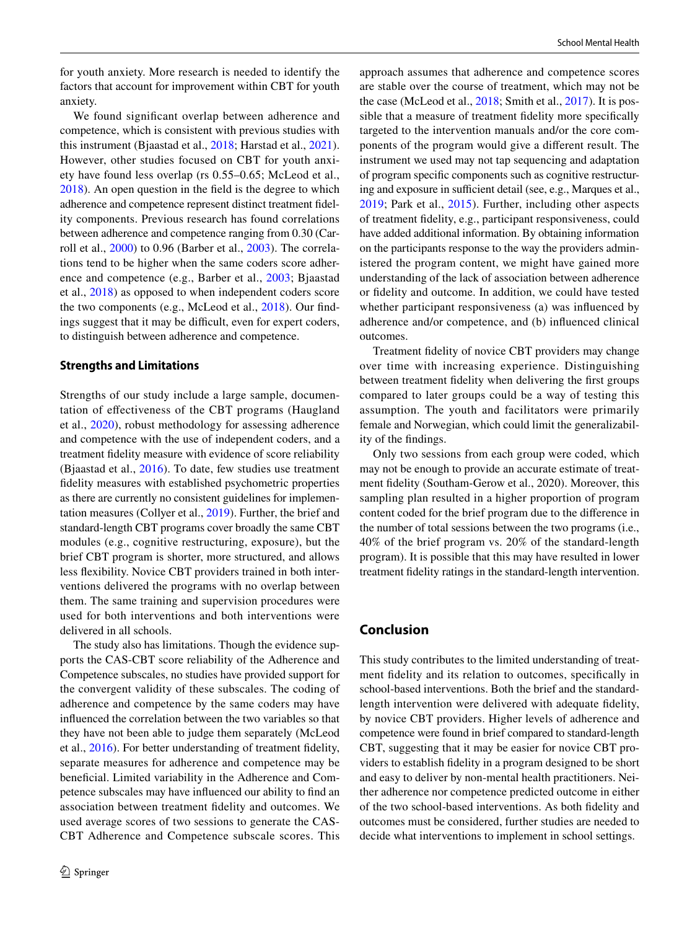for youth anxiety. More research is needed to identify the factors that account for improvement within CBT for youth anxiety.

We found signifcant overlap between adherence and competence, which is consistent with previous studies with this instrument (Bjaastad et al., [2018](#page-10-5); Harstad et al., [2021](#page-11-17)). However, other studies focused on CBT for youth anxiety have found less overlap (rs 0.55–0.65; McLeod et al., [2018](#page-11-25)). An open question in the feld is the degree to which adherence and competence represent distinct treatment fdelity components. Previous research has found correlations between adherence and competence ranging from 0.30 (Carroll et al., [2000](#page-10-15)) to 0.96 (Barber et al., [2003](#page-10-11)). The correlations tend to be higher when the same coders score adherence and competence (e.g., Barber et al., [2003](#page-10-11); Bjaastad et al., [2018\)](#page-10-5) as opposed to when independent coders score the two components (e.g., McLeod et al., [2018\)](#page-11-25). Our fndings suggest that it may be difficult, even for expert coders, to distinguish between adherence and competence.

#### **Strengths and Limitations**

Strengths of our study include a large sample, documentation of efectiveness of the CBT programs (Haugland et al., [2020](#page-11-1)), robust methodology for assessing adherence and competence with the use of independent coders, and a treatment fdelity measure with evidence of score reliability (Bjaastad et al., [2016](#page-10-8)). To date, few studies use treatment fdelity measures with established psychometric properties as there are currently no consistent guidelines for implementation measures (Collyer et al., [2019\)](#page-10-4). Further, the brief and standard-length CBT programs cover broadly the same CBT modules (e.g., cognitive restructuring, exposure), but the brief CBT program is shorter, more structured, and allows less fexibility. Novice CBT providers trained in both interventions delivered the programs with no overlap between them. The same training and supervision procedures were used for both interventions and both interventions were delivered in all schools.

The study also has limitations. Though the evidence supports the CAS-CBT score reliability of the Adherence and Competence subscales, no studies have provided support for the convergent validity of these subscales. The coding of adherence and competence by the same coders may have infuenced the correlation between the two variables so that they have not been able to judge them separately (McLeod et al., [2016](#page-11-26)). For better understanding of treatment fdelity, separate measures for adherence and competence may be benefcial. Limited variability in the Adherence and Competence subscales may have infuenced our ability to fnd an association between treatment fdelity and outcomes. We used average scores of two sessions to generate the CAS-CBT Adherence and Competence subscale scores. This approach assumes that adherence and competence scores are stable over the course of treatment, which may not be the case (McLeod et al., [2018;](#page-11-25) Smith et al., [2017](#page-12-28)). It is possible that a measure of treatment fdelity more specifcally targeted to the intervention manuals and/or the core components of the program would give a diferent result. The instrument we used may not tap sequencing and adaptation of program specifc components such as cognitive restructuring and exposure in sufficient detail (see, e.g., Marques et al., [2019;](#page-11-27) Park et al., [2015\)](#page-12-29). Further, including other aspects of treatment fdelity, e.g., participant responsiveness, could have added additional information. By obtaining information on the participants response to the way the providers administered the program content, we might have gained more understanding of the lack of association between adherence or fdelity and outcome. In addition, we could have tested whether participant responsiveness (a) was infuenced by adherence and/or competence, and (b) infuenced clinical outcomes.

Treatment fdelity of novice CBT providers may change over time with increasing experience. Distinguishing between treatment fdelity when delivering the frst groups compared to later groups could be a way of testing this assumption. The youth and facilitators were primarily female and Norwegian, which could limit the generalizability of the fndings.

Only two sessions from each group were coded, which may not be enough to provide an accurate estimate of treatment fdelity (Southam-Gerow et al., 2020). Moreover, this sampling plan resulted in a higher proportion of program content coded for the brief program due to the diference in the number of total sessions between the two programs (i.e., 40% of the brief program vs. 20% of the standard-length program). It is possible that this may have resulted in lower treatment fdelity ratings in the standard-length intervention.

# **Conclusion**

This study contributes to the limited understanding of treatment fdelity and its relation to outcomes, specifcally in school-based interventions. Both the brief and the standardlength intervention were delivered with adequate fdelity, by novice CBT providers. Higher levels of adherence and competence were found in brief compared to standard-length CBT, suggesting that it may be easier for novice CBT providers to establish fdelity in a program designed to be short and easy to deliver by non-mental health practitioners. Neither adherence nor competence predicted outcome in either of the two school-based interventions. As both fdelity and outcomes must be considered, further studies are needed to decide what interventions to implement in school settings.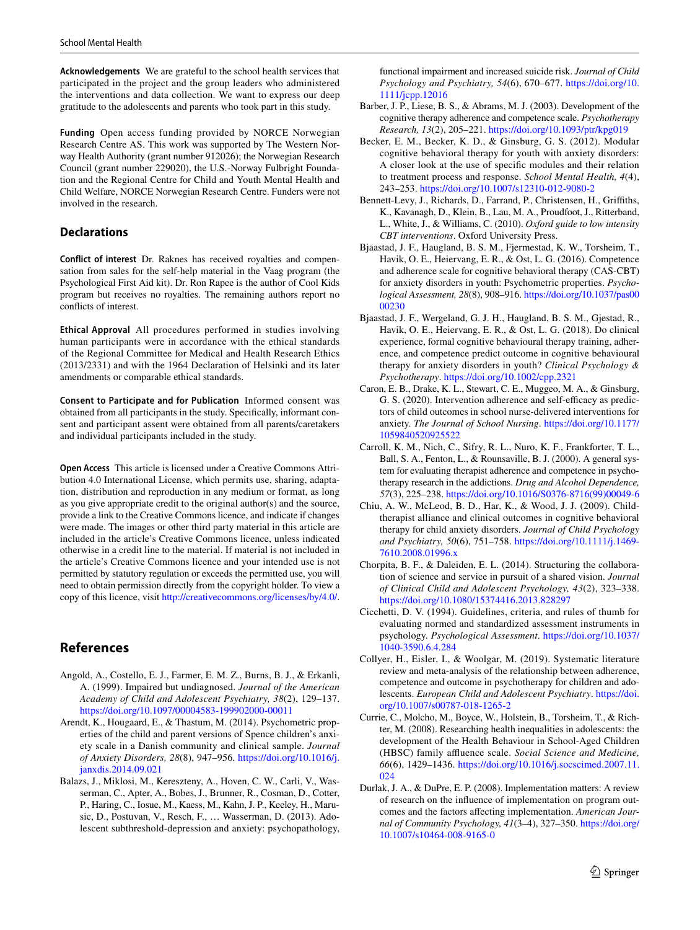**Acknowledgements** We are grateful to the school health services that participated in the project and the group leaders who administered the interventions and data collection. We want to express our deep gratitude to the adolescents and parents who took part in this study.

**Funding** Open access funding provided by NORCE Norwegian Research Centre AS. This work was supported by The Western Norway Health Authority (grant number 912026); the Norwegian Research Council (grant number 229020), the U.S.-Norway Fulbright Foundation and the Regional Centre for Child and Youth Mental Health and Child Welfare, NORCE Norwegian Research Centre. Funders were not involved in the research.

# **Declarations**

**Conflict of interest** Dr. Raknes has received royalties and compensation from sales for the self-help material in the Vaag program (the Psychological First Aid kit). Dr. Ron Rapee is the author of Cool Kids program but receives no royalties. The remaining authors report no conficts of interest.

**Ethical Approval** All procedures performed in studies involving human participants were in accordance with the ethical standards of the Regional Committee for Medical and Health Research Ethics (2013/2331) and with the 1964 Declaration of Helsinki and its later amendments or comparable ethical standards.

**Consent to Participate and for Publication** Informed consent was obtained from all participants in the study. Specifcally, informant consent and participant assent were obtained from all parents/caretakers and individual participants included in the study.

**Open Access** This article is licensed under a Creative Commons Attribution 4.0 International License, which permits use, sharing, adaptation, distribution and reproduction in any medium or format, as long as you give appropriate credit to the original author(s) and the source, provide a link to the Creative Commons licence, and indicate if changes were made. The images or other third party material in this article are included in the article's Creative Commons licence, unless indicated otherwise in a credit line to the material. If material is not included in the article's Creative Commons licence and your intended use is not permitted by statutory regulation or exceeds the permitted use, you will need to obtain permission directly from the copyright holder. To view a copy of this licence, visit <http://creativecommons.org/licenses/by/4.0/>.

# **References**

- <span id="page-10-1"></span>Angold, A., Costello, E. J., Farmer, E. M. Z., Burns, B. J., & Erkanli, A. (1999). Impaired but undiagnosed. *Journal of the American Academy of Child and Adolescent Psychiatry, 38*(2), 129–137. <https://doi.org/10.1097/00004583-199902000-00011>
- <span id="page-10-10"></span>Arendt, K., Hougaard, E., & Thastum, M. (2014). Psychometric properties of the child and parent versions of Spence children's anxiety scale in a Danish community and clinical sample. *Journal of Anxiety Disorders, 28*(8), 947–956. [https://doi.org/10.1016/j.](https://doi.org/10.1016/j.janxdis.2014.09.021) [janxdis.2014.09.021](https://doi.org/10.1016/j.janxdis.2014.09.021)
- <span id="page-10-0"></span>Balazs, J., Miklosi, M., Kereszteny, A., Hoven, C. W., Carli, V., Wasserman, C., Apter, A., Bobes, J., Brunner, R., Cosman, D., Cotter, P., Haring, C., Iosue, M., Kaess, M., Kahn, J. P., Keeley, H., Marusic, D., Postuvan, V., Resch, F., … Wasserman, D. (2013). Adolescent subthreshold-depression and anxiety: psychopathology,

functional impairment and increased suicide risk. *Journal of Child Psychology and Psychiatry, 54*(6), 670–677. [https://doi.org/10.](https://doi.org/10.1111/jcpp.12016) [1111/jcpp.12016](https://doi.org/10.1111/jcpp.12016)

- <span id="page-10-11"></span>Barber, J. P., Liese, B. S., & Abrams, M. J. (2003). Development of the cognitive therapy adherence and competence scale. *Psychotherapy Research, 13*(2), 205–221. <https://doi.org/10.1093/ptr/kpg019>
- <span id="page-10-6"></span>Becker, E. M., Becker, K. D., & Ginsburg, G. S. (2012). Modular cognitive behavioral therapy for youth with anxiety disorders: A closer look at the use of specifc modules and their relation to treatment process and response. *School Mental Health, 4*(4), 243–253.<https://doi.org/10.1007/s12310-012-9080-2>
- <span id="page-10-2"></span>Bennett-Levy, J., Richards, D., Farrand, P., Christensen, H., Grifths, K., Kavanagh, D., Klein, B., Lau, M. A., Proudfoot, J., Ritterband, L., White, J., & Williams, C. (2010). *Oxford guide to low intensity CBT interventions*. Oxford University Press.
- <span id="page-10-8"></span>Bjaastad, J. F., Haugland, B. S. M., Fjermestad, K. W., Torsheim, T., Havik, O. E., Heiervang, E. R., & Ost, L. G. (2016). Competence and adherence scale for cognitive behavioral therapy (CAS-CBT) for anxiety disorders in youth: Psychometric properties. *Psychological Assessment, 28*(8), 908–916. [https://doi.org/10.1037/pas00](https://doi.org/10.1037/pas0000230) [00230](https://doi.org/10.1037/pas0000230)
- <span id="page-10-5"></span>Bjaastad, J. F., Wergeland, G. J. H., Haugland, B. S. M., Gjestad, R., Havik, O. E., Heiervang, E. R., & Ost, L. G. (2018). Do clinical experience, formal cognitive behavioural therapy training, adherence, and competence predict outcome in cognitive behavioural therapy for anxiety disorders in youth? *Clinical Psychology & Psychotherapy*. <https://doi.org/10.1002/cpp.2321>
- <span id="page-10-7"></span>Caron, E. B., Drake, K. L., Stewart, C. E., Muggeo, M. A., & Ginsburg, G. S. (2020). Intervention adherence and self-efficacy as predictors of child outcomes in school nurse-delivered interventions for anxiety. *The Journal of School Nursing*. [https://doi.org/10.1177/](https://doi.org/10.1177/1059840520925522) [1059840520925522](https://doi.org/10.1177/1059840520925522)
- <span id="page-10-15"></span>Carroll, K. M., Nich, C., Sifry, R. L., Nuro, K. F., Frankforter, T. L., Ball, S. A., Fenton, L., & Rounsaville, B. J. (2000). A general system for evaluating therapist adherence and competence in psychotherapy research in the addictions. *Drug and Alcohol Dependence, 57*(3), 225–238. [https://doi.org/10.1016/S0376-8716\(99\)00049-6](https://doi.org/10.1016/S0376-8716(99)00049-6)
- <span id="page-10-14"></span>Chiu, A. W., McLeod, B. D., Har, K., & Wood, J. J. (2009). Childtherapist alliance and clinical outcomes in cognitive behavioral therapy for child anxiety disorders. *Journal of Child Psychology and Psychiatry, 50*(6), 751–758. [https://doi.org/10.1111/j.1469-](https://doi.org/10.1111/j.1469-7610.2008.01996.x) [7610.2008.01996.x](https://doi.org/10.1111/j.1469-7610.2008.01996.x)
- <span id="page-10-3"></span>Chorpita, B. F., & Daleiden, E. L. (2014). Structuring the collaboration of science and service in pursuit of a shared vision. *Journal of Clinical Child and Adolescent Psychology, 43*(2), 323–338. <https://doi.org/10.1080/15374416.2013.828297>
- <span id="page-10-12"></span>Cicchetti, D. V. (1994). Guidelines, criteria, and rules of thumb for evaluating normed and standardized assessment instruments in psychology. *Psychological Assessment*. [https://doi.org/10.1037/](https://doi.org/10.1037/1040-3590.6.4.284) [1040-3590.6.4.284](https://doi.org/10.1037/1040-3590.6.4.284)
- <span id="page-10-4"></span>Collyer, H., Eisler, I., & Woolgar, M. (2019). Systematic literature review and meta-analysis of the relationship between adherence, competence and outcome in psychotherapy for children and adolescents. *European Child and Adolescent Psychiatry*. [https://doi.](https://doi.org/10.1007/s00787-018-1265-2) [org/10.1007/s00787-018-1265-2](https://doi.org/10.1007/s00787-018-1265-2)
- <span id="page-10-9"></span>Currie, C., Molcho, M., Boyce, W., Holstein, B., Torsheim, T., & Richter, M. (2008). Researching health inequalities in adolescents: the development of the Health Behaviour in School-Aged Children (HBSC) family affluence scale. *Social Science and Medicine*, *66*(6), 1429–1436. [https://doi.org/10.1016/j.socscimed.2007.11.](https://doi.org/10.1016/j.socscimed.2007.11.024) [024](https://doi.org/10.1016/j.socscimed.2007.11.024)
- <span id="page-10-13"></span>Durlak, J. A., & DuPre, E. P. (2008). Implementation matters: A review of research on the infuence of implementation on program outcomes and the factors afecting implementation. *American Journal of Community Psychology, 41*(3–4), 327–350. [https://doi.org/](https://doi.org/10.1007/s10464-008-9165-0) [10.1007/s10464-008-9165-0](https://doi.org/10.1007/s10464-008-9165-0)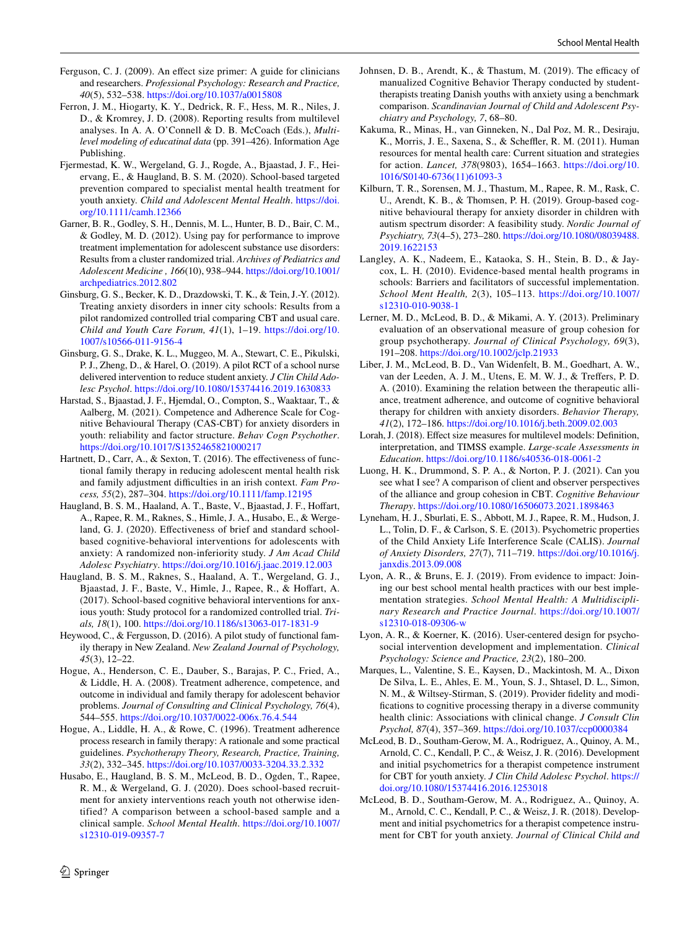- <span id="page-11-20"></span>Ferguson, C. J. (2009). An efect size primer: A guide for clinicians and researchers. *Professional Psychology: Research and Practice, 40*(5), 532–538.<https://doi.org/10.1037/a0015808>
- <span id="page-11-18"></span>Ferron, J. M., Hiogarty, K. Y., Dedrick, R. F., Hess, M. R., Niles, J. D., & Kromrey, J. D. (2008). Reporting results from multilevel analyses. In A. A. O'Connell & D. B. McCoach (Eds.), *Multilevel modeling of educatinal data* (pp. 391–426). Information Age Publishing.
- <span id="page-11-13"></span>Fjermestad, K. W., Wergeland, G. J., Rogde, A., Bjaastad, J. F., Heiervang, E., & Haugland, B. S. M. (2020). School-based targeted prevention compared to specialist mental health treatment for youth anxiety. *Child and Adolescent Mental Health*. [https://doi.](https://doi.org/10.1111/camh.12366) [org/10.1111/camh.12366](https://doi.org/10.1111/camh.12366)
- <span id="page-11-9"></span>Garner, B. R., Godley, S. H., Dennis, M. L., Hunter, B. D., Bair, C. M., & Godley, M. D. (2012). Using pay for performance to improve treatment implementation for adolescent substance use disorders: Results from a cluster randomized trial. *Archives of Pediatrics and Adolescent Medicine , 166*(10), 938–944. [https://doi.org/10.1001/](https://doi.org/10.1001/archpediatrics.2012.802) [archpediatrics.2012.802](https://doi.org/10.1001/archpediatrics.2012.802)
- <span id="page-11-10"></span>Ginsburg, G. S., Becker, K. D., Drazdowski, T. K., & Tein, J.-Y. (2012). Treating anxiety disorders in inner city schools: Results from a pilot randomized controlled trial comparing CBT and usual care. *Child and Youth Care Forum, 41*(1), 1–19. [https://doi.org/10.](https://doi.org/10.1007/s10566-011-9156-4) [1007/s10566-011-9156-4](https://doi.org/10.1007/s10566-011-9156-4)
- <span id="page-11-21"></span>Ginsburg, G. S., Drake, K. L., Muggeo, M. A., Stewart, C. E., Pikulski, P. J., Zheng, D., & Harel, O. (2019). A pilot RCT of a school nurse delivered intervention to reduce student anxiety. *J Clin Child Adolesc Psychol*. <https://doi.org/10.1080/15374416.2019.1630833>
- <span id="page-11-17"></span>Harstad, S., Bjaastad, J. F., Hjemdal, O., Compton, S., Waaktaar, T., & Aalberg, M. (2021). Competence and Adherence Scale for Cognitive Behavioural Therapy (CAS-CBT) for anxiety disorders in youth: reliability and factor structure. *Behav Cogn Psychother*. <https://doi.org/10.1017/S1352465821000217>
- <span id="page-11-6"></span>Hartnett, D., Carr, A., & Sexton, T. (2016). The effectiveness of functional family therapy in reducing adolescent mental health risk and family adjustment difficulties in an irish context. Fam Pro*cess, 55*(2), 287–304. <https://doi.org/10.1111/famp.12195>
- <span id="page-11-1"></span>Haugland, B. S. M., Haaland, A. T., Baste, V., Bjaastad, J. F., Hoffart, A., Rapee, R. M., Raknes, S., Himle, J. A., Husabo, E., & Wergeland, G. J. (2020). Efectiveness of brief and standard schoolbased cognitive-behavioral interventions for adolescents with anxiety: A randomized non-inferiority study. *J Am Acad Child Adolesc Psychiatry*.<https://doi.org/10.1016/j.jaac.2019.12.003>
- <span id="page-11-11"></span>Haugland, B. S. M., Raknes, S., Haaland, A. T., Wergeland, G. J., Bjaastad, J. F., Baste, V., Himle, J., Rapee, R., & Hoffart, A. (2017). School-based cognitive behavioral interventions for anxious youth: Study protocol for a randomized controlled trial. *Trials, 18*(1), 100.<https://doi.org/10.1186/s13063-017-1831-9>
- <span id="page-11-7"></span>Heywood, C., & Fergusson, D. (2016). A pilot study of functional family therapy in New Zealand. *New Zealand Journal of Psychology, 45*(3), 12–22.
- <span id="page-11-5"></span>Hogue, A., Henderson, C. E., Dauber, S., Barajas, P. C., Fried, A., & Liddle, H. A. (2008). Treatment adherence, competence, and outcome in individual and family therapy for adolescent behavior problems. *Journal of Consulting and Clinical Psychology, 76*(4), 544–555.<https://doi.org/10.1037/0022-006x.76.4.544>
- <span id="page-11-16"></span>Hogue, A., Liddle, H. A., & Rowe, C. (1996). Treatment adherence process research in family therapy: A rationale and some practical guidelines. *Psychotherapy Theory, Research, Practice, Training, 33*(2), 332–345.<https://doi.org/10.1037/0033-3204.33.2.332>
- <span id="page-11-22"></span>Husabo, E., Haugland, B. S. M., McLeod, B. D., Ogden, T., Rapee, R. M., & Wergeland, G. J. (2020). Does school-based recruitment for anxiety interventions reach youth not otherwise identified? A comparison between a school-based sample and a clinical sample. *School Mental Health*. [https://doi.org/10.1007/](https://doi.org/10.1007/s12310-019-09357-7) [s12310-019-09357-7](https://doi.org/10.1007/s12310-019-09357-7)
- <span id="page-11-14"></span>Johnsen, D. B., Arendt, K., & Thastum, M. (2019). The efficacy of manualized Cognitive Behavior Therapy conducted by studenttherapists treating Danish youths with anxiety using a benchmark comparison. *Scandinavian Journal of Child and Adolescent Psychiatry and Psychology, 7*, 68–80.
- <span id="page-11-3"></span>Kakuma, R., Minas, H., van Ginneken, N., Dal Poz, M. R., Desiraju, K., Morris, J. E., Saxena, S., & Scheffler, R. M. (2011). Human resources for mental health care: Current situation and strategies for action. *Lancet, 378*(9803), 1654–1663. [https://doi.org/10.](https://doi.org/10.1016/S0140-6736(11)61093-3) [1016/S0140-6736\(11\)61093-3](https://doi.org/10.1016/S0140-6736(11)61093-3)
- <span id="page-11-15"></span>Kilburn, T. R., Sorensen, M. J., Thastum, M., Rapee, R. M., Rask, C. U., Arendt, K. B., & Thomsen, P. H. (2019). Group-based cognitive behavioural therapy for anxiety disorder in children with autism spectrum disorder: A feasibility study. *Nordic Journal of Psychiatry, 73*(4–5), 273–280. [https://doi.org/10.1080/08039488.](https://doi.org/10.1080/08039488.2019.1622153) [2019.1622153](https://doi.org/10.1080/08039488.2019.1622153)
- <span id="page-11-2"></span>Langley, A. K., Nadeem, E., Kataoka, S. H., Stein, B. D., & Jaycox, L. H. (2010). Evidence-based mental health programs in schools: Barriers and facilitators of successful implementation. *School Ment Health, 2*(3), 105–113. [https://doi.org/10.1007/](https://doi.org/10.1007/s12310-010-9038-1) [s12310-010-9038-1](https://doi.org/10.1007/s12310-010-9038-1)
- <span id="page-11-23"></span>Lerner, M. D., McLeod, B. D., & Mikami, A. Y. (2013). Preliminary evaluation of an observational measure of group cohesion for group psychotherapy. *Journal of Clinical Psychology, 69*(3), 191–208.<https://doi.org/10.1002/jclp.21933>
- <span id="page-11-8"></span>Liber, J. M., McLeod, B. D., Van Widenfelt, B. M., Goedhart, A. W., van der Leeden, A. J. M., Utens, E. M. W. J., & Trefers, P. D. A. (2010). Examining the relation between the therapeutic alliance, treatment adherence, and outcome of cognitive behavioral therapy for children with anxiety disorders. *Behavior Therapy, 41*(2), 172–186.<https://doi.org/10.1016/j.beth.2009.02.003>
- <span id="page-11-19"></span>Lorah, J. (2018). Effect size measures for multilevel models: Definition, interpretation, and TIMSS example. *Large-scale Assessments in Education*. <https://doi.org/10.1186/s40536-018-0061-2>
- <span id="page-11-24"></span>Luong, H. K., Drummond, S. P. A., & Norton, P. J. (2021). Can you see what I see? A comparison of client and observer perspectives of the alliance and group cohesion in CBT. *Cognitive Behaviour Therapy*. <https://doi.org/10.1080/16506073.2021.1898463>
- <span id="page-11-12"></span>Lyneham, H. J., Sburlati, E. S., Abbott, M. J., Rapee, R. M., Hudson, J. L., Tolin, D. F., & Carlson, S. E. (2013). Psychometric properties of the Child Anxiety Life Interference Scale (CALIS). *Journal of Anxiety Disorders, 27*(7), 711–719. [https://doi.org/10.1016/j.](https://doi.org/10.1016/j.janxdis.2013.09.008) [janxdis.2013.09.008](https://doi.org/10.1016/j.janxdis.2013.09.008)
- <span id="page-11-0"></span>Lyon, A. R., & Bruns, E. J. (2019). From evidence to impact: Joining our best school mental health practices with our best implementation strategies. *School Mental Health: A Multidisciplinary Research and Practice Journal*. [https://doi.org/10.1007/](https://doi.org/10.1007/s12310-018-09306-w) [s12310-018-09306-w](https://doi.org/10.1007/s12310-018-09306-w)
- <span id="page-11-4"></span>Lyon, A. R., & Koerner, K. (2016). User-centered design for psychosocial intervention development and implementation. *Clinical Psychology: Science and Practice, 23*(2), 180–200.
- <span id="page-11-27"></span>Marques, L., Valentine, S. E., Kaysen, D., Mackintosh, M. A., Dixon De Silva, L. E., Ahles, E. M., Youn, S. J., Shtasel, D. L., Simon, N. M., & Wiltsey-Stirman, S. (2019). Provider fdelity and modifcations to cognitive processing therapy in a diverse community health clinic: Associations with clinical change. *J Consult Clin Psychol, 87*(4), 357–369.<https://doi.org/10.1037/ccp0000384>
- <span id="page-11-26"></span>McLeod, B. D., Southam-Gerow, M. A., Rodriguez, A., Quinoy, A. M., Arnold, C. C., Kendall, P. C., & Weisz, J. R. (2016). Development and initial psychometrics for a therapist competence instrument for CBT for youth anxiety. *J Clin Child Adolesc Psychol*. [https://](https://doi.org/10.1080/15374416.2016.1253018) [doi.org/10.1080/15374416.2016.1253018](https://doi.org/10.1080/15374416.2016.1253018)
- <span id="page-11-25"></span>McLeod, B. D., Southam-Gerow, M. A., Rodriguez, A., Quinoy, A. M., Arnold, C. C., Kendall, P. C., & Weisz, J. R. (2018). Development and initial psychometrics for a therapist competence instrument for CBT for youth anxiety. *Journal of Clinical Child and*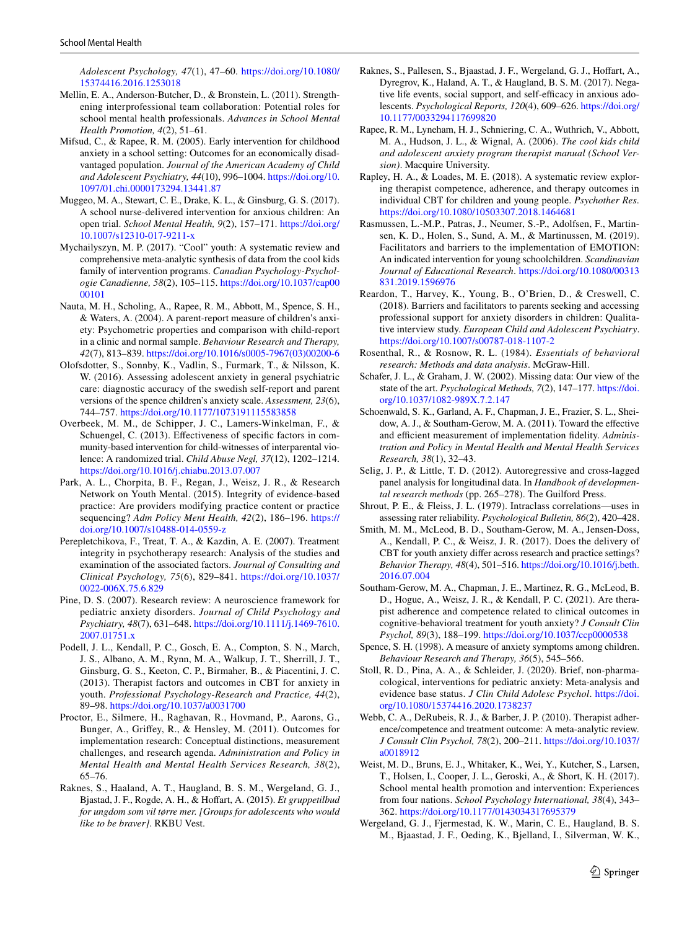*Adolescent Psychology, 47*(1), 47–60. [https://doi.org/10.1080/](https://doi.org/10.1080/15374416.2016.1253018) [15374416.2016.1253018](https://doi.org/10.1080/15374416.2016.1253018)

- <span id="page-12-13"></span>Mellin, E. A., Anderson-Butcher, D., & Bronstein, L. (2011). Strengthening interprofessional team collaboration: Potential roles for school mental health professionals. *Advances in School Mental Health Promotion, 4*(2), 51–61.
- <span id="page-12-18"></span>Mifsud, C., & Rapee, R. M. (2005). Early intervention for childhood anxiety in a school setting: Outcomes for an economically disadvantaged population. *Journal of the American Academy of Child and Adolescent Psychiatry, 44*(10), 996–1004. [https://doi.org/10.](https://doi.org/10.1097/01.chi.0000173294.13441.87) [1097/01.chi.0000173294.13441.87](https://doi.org/10.1097/01.chi.0000173294.13441.87)
- <span id="page-12-4"></span>Muggeo, M. A., Stewart, C. E., Drake, K. L., & Ginsburg, G. S. (2017). A school nurse-delivered intervention for anxious children: An open trial. *School Mental Health, 9*(2), 157–171. [https://doi.org/](https://doi.org/10.1007/s12310-017-9211-x) [10.1007/s12310-017-9211-x](https://doi.org/10.1007/s12310-017-9211-x)
- <span id="page-12-17"></span>Mychailyszyn, M. P. (2017). "Cool" youth: A systematic review and comprehensive meta-analytic synthesis of data from the cool kids family of intervention programs. *Canadian Psychology-Psychologie Canadienne, 58*(2), 105–115. [https://doi.org/10.1037/cap00](https://doi.org/10.1037/cap0000101) [00101](https://doi.org/10.1037/cap0000101)
- <span id="page-12-19"></span>Nauta, M. H., Scholing, A., Rapee, R. M., Abbott, M., Spence, S. H., & Waters, A. (2004). A parent-report measure of children's anxiety: Psychometric properties and comparison with child-report in a clinic and normal sample. *Behaviour Research and Therapy, 42*(7), 813–839. [https://doi.org/10.1016/s0005-7967\(03\)00200-6](https://doi.org/10.1016/s0005-7967(03)00200-6)
- <span id="page-12-20"></span>Olofsdotter, S., Sonnby, K., Vadlin, S., Furmark, T., & Nilsson, K. W. (2016). Assessing adolescent anxiety in general psychiatric care: diagnostic accuracy of the swedish self-report and parent versions of the spence children's anxiety scale. *Assessment, 23*(6), 744–757.<https://doi.org/10.1177/1073191115583858>
- <span id="page-12-12"></span>Overbeek, M. M., de Schipper, J. C., Lamers-Winkelman, F., & Schuengel, C. (2013). Effectiveness of specific factors in community-based intervention for child-witnesses of interparental violence: A randomized trial. *Child Abuse Negl, 37*(12), 1202–1214. <https://doi.org/10.1016/j.chiabu.2013.07.007>
- <span id="page-12-29"></span>Park, A. L., Chorpita, B. F., Regan, J., Weisz, J. R., & Research Network on Youth Mental. (2015). Integrity of evidence-based practice: Are providers modifying practice content or practice sequencing? *Adm Policy Ment Health, 42*(2), 186–196. [https://](https://doi.org/10.1007/s10488-014-0559-z) [doi.org/10.1007/s10488-014-0559-z](https://doi.org/10.1007/s10488-014-0559-z)
- <span id="page-12-7"></span>Perepletchikova, F., Treat, T. A., & Kazdin, A. E. (2007). Treatment integrity in psychotherapy research: Analysis of the studies and examination of the associated factors. *Journal of Consulting and Clinical Psychology, 75*(6), 829–841. [https://doi.org/10.1037/](https://doi.org/10.1037/0022-006X.75.6.829) [0022-006X.75.6.829](https://doi.org/10.1037/0022-006X.75.6.829)
- <span id="page-12-0"></span>Pine, D. S. (2007). Research review: A neuroscience framework for pediatric anxiety disorders. *Journal of Child Psychology and Psychiatry, 48*(7), 631–648. [https://doi.org/10.1111/j.1469-7610.](https://doi.org/10.1111/j.1469-7610.2007.01751.x) [2007.01751.x](https://doi.org/10.1111/j.1469-7610.2007.01751.x)
- <span id="page-12-11"></span>Podell, J. L., Kendall, P. C., Gosch, E. A., Compton, S. N., March, J. S., Albano, A. M., Rynn, M. A., Walkup, J. T., Sherrill, J. T., Ginsburg, G. S., Keeton, C. P., Birmaher, B., & Piacentini, J. C. (2013). Therapist factors and outcomes in CBT for anxiety in youth. *Professional Psychology-Research and Practice, 44*(2), 89–98. <https://doi.org/10.1037/a0031700>
- <span id="page-12-5"></span>Proctor, E., Silmere, H., Raghavan, R., Hovmand, P., Aarons, G., Bunger, A., Grifey, R., & Hensley, M. (2011). Outcomes for implementation research: Conceptual distinctions, measurement challenges, and research agenda. *Administration and Policy in Mental Health and Mental Health Services Research, 38*(2), 65–76.
- <span id="page-12-14"></span>Raknes, S., Haaland, A. T., Haugland, B. S. M., Wergeland, G. J., Bjastad, J. F., Rogde, A. H., & Hofart, A. (2015). *Et gruppetilbud for ungdom som vil tørre mer. [Groups for adolescents who would like to be braver]*. RKBU Vest.
- <span id="page-12-22"></span>Raknes, S., Pallesen, S., Bjaastad, J. F., Wergeland, G. J., Hoffart, A., Dyregrov, K., Haland, A. T., & Haugland, B. S. M. (2017). Negative life events, social support, and self-efficacy in anxious adolescents. *Psychological Reports, 120*(4), 609–626. [https://doi.org/](https://doi.org/10.1177/0033294117699820) [10.1177/0033294117699820](https://doi.org/10.1177/0033294117699820)
- <span id="page-12-15"></span>Rapee, R. M., Lyneham, H. J., Schniering, C. A., Wuthrich, V., Abbott, M. A., Hudson, J. L., & Wignal, A. (2006). *The cool kids child and adolescent anxiety program therapist manual (School Version)*. Macquire University.
- <span id="page-12-9"></span>Rapley, H. A., & Loades, M. E. (2018). A systematic review exploring therapist competence, adherence, and therapy outcomes in individual CBT for children and young people. *Psychother Res*. <https://doi.org/10.1080/10503307.2018.1464681>
- <span id="page-12-2"></span>Rasmussen, L.-M.P., Patras, J., Neumer, S.-P., Adolfsen, F., Martinsen, K. D., Holen, S., Sund, A. M., & Martinussen, M. (2019). Facilitators and barriers to the implementation of EMOTION: An indicated intervention for young schoolchildren. *Scandinavian Journal of Educational Research*. [https://doi.org/10.1080/00313](https://doi.org/10.1080/00313831.2019.1596976) [831.2019.1596976](https://doi.org/10.1080/00313831.2019.1596976)
- <span id="page-12-26"></span>Reardon, T., Harvey, K., Young, B., O'Brien, D., & Creswell, C. (2018). Barriers and facilitators to parents seeking and accessing professional support for anxiety disorders in children: Qualitative interview study. *European Child and Adolescent Psychiatry*. <https://doi.org/10.1007/s00787-018-1107-2>
- <span id="page-12-24"></span>Rosenthal, R., & Rosnow, R. L. (1984). *Essentials of behavioral research: Methods and data analysis*. McGraw-Hill.
- <span id="page-12-25"></span>Schafer, J. L., & Graham, J. W. (2002). Missing data: Our view of the state of the art. *Psychological Methods, 7*(2), 147–177. [https://doi.](https://doi.org/10.1037/1082-989X.7.2.147) [org/10.1037/1082-989X.7.2.147](https://doi.org/10.1037/1082-989X.7.2.147)
- <span id="page-12-6"></span>Schoenwald, S. K., Garland, A. F., Chapman, J. E., Frazier, S. L., Sheidow, A. J., & Southam-Gerow, M. A. (2011). Toward the effective and efficient measurement of implementation fidelity. Adminis*tration and Policy in Mental Health and Mental Health Services Research, 38*(1), 32–43.
- <span id="page-12-27"></span>Selig, J. P., & Little, T. D. (2012). Autoregressive and cross-lagged panel analysis for longitudinal data. In *Handbook of developmental research methods* (pp. 265–278). The Guilford Press.
- <span id="page-12-23"></span>Shrout, P. E., & Fleiss, J. L. (1979). Intraclass correlations—uses in assessing rater reliability. *Psychological Bulletin, 86*(2), 420–428.
- <span id="page-12-28"></span>Smith, M. M., McLeod, B. D., Southam-Gerow, M. A., Jensen-Doss, A., Kendall, P. C., & Weisz, J. R. (2017). Does the delivery of CBT for youth anxiety difer across research and practice settings? *Behavior Therapy, 48*(4), 501–516. [https://doi.org/10.1016/j.beth.](https://doi.org/10.1016/j.beth.2016.07.004) [2016.07.004](https://doi.org/10.1016/j.beth.2016.07.004)
- <span id="page-12-8"></span>Southam-Gerow, M. A., Chapman, J. E., Martinez, R. G., McLeod, B. D., Hogue, A., Weisz, J. R., & Kendall, P. C. (2021). Are therapist adherence and competence related to clinical outcomes in cognitive-behavioral treatment for youth anxiety? *J Consult Clin Psychol, 89*(3), 188–199.<https://doi.org/10.1037/ccp0000538>
- <span id="page-12-16"></span>Spence, S. H. (1998). A measure of anxiety symptoms among children. *Behaviour Research and Therapy, 36*(5), 545–566.
- <span id="page-12-1"></span>Stoll, R. D., Pina, A. A., & Schleider, J. (2020). Brief, non-pharmacological, interventions for pediatric anxiety: Meta-analysis and evidence base status. *J Clin Child Adolesc Psychol*. [https://doi.](https://doi.org/10.1080/15374416.2020.1738237) [org/10.1080/15374416.2020.1738237](https://doi.org/10.1080/15374416.2020.1738237)
- <span id="page-12-10"></span>Webb, C. A., DeRubeis, R. J., & Barber, J. P. (2010). Therapist adherence/competence and treatment outcome: A meta-analytic review. *J Consult Clin Psychol, 78*(2), 200–211. [https://doi.org/10.1037/](https://doi.org/10.1037/a0018912) [a0018912](https://doi.org/10.1037/a0018912)
- <span id="page-12-3"></span>Weist, M. D., Bruns, E. J., Whitaker, K., Wei, Y., Kutcher, S., Larsen, T., Holsen, I., Cooper, J. L., Geroski, A., & Short, K. H. (2017). School mental health promotion and intervention: Experiences from four nations. *School Psychology International, 38*(4), 343– 362.<https://doi.org/10.1177/0143034317695379>
- <span id="page-12-21"></span>Wergeland, G. J., Fjermestad, K. W., Marin, C. E., Haugland, B. S. M., Bjaastad, J. F., Oeding, K., Bjelland, I., Silverman, W. K.,